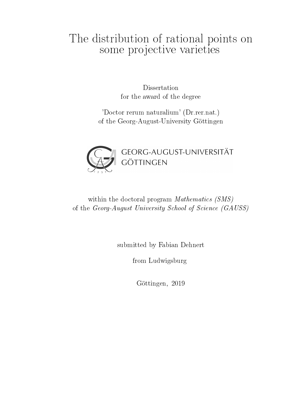# The distribution of rational points on some projective varieties

Dissertation for the award of the degree

'Doctor rerum naturalium' (Dr.rer.nat.) of the Georg-August-University Göttingen



## within the doctoral program *Mathematics* (SMS) of the Georg-August University School of Science (GAUSS)

submitted by Fabian Dehnert

from Ludwigsburg

Göttingen, 2019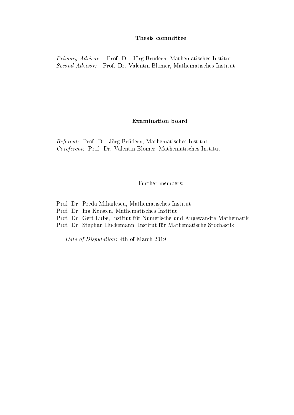#### Thesis committee

Primary Advisor: Prof. Dr. Jörg Brüdern, Mathematisches Institut Second Advisor: Prof. Dr. Valentin Blomer, Mathematisches Institut

### Examination board

Referent: Prof. Dr. Jörg Brüdern, Mathematisches Institut Coreferent: Prof. Dr. Valentin Blomer, Mathematisches Institut

Further members:

- Prof. Dr. Preda Mihailescu, Mathematisches Institut
- Prof. Dr. Ina Kersten, Mathematisches Institut
- Prof. Dr. Gert Lube, Institut für Numerische und Angewandte Mathematik
- Prof. Dr. Stephan Huckemann, Institut für Mathematische Stochastik

Date of Disputation: 4th of March 2019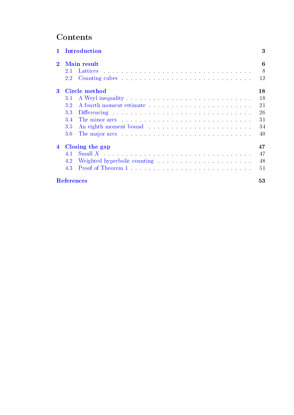## **Contents**

| Introduction<br>$\mathbf{1}$ |                            |                                                                                                                                                                                                                                | 3  |
|------------------------------|----------------------------|--------------------------------------------------------------------------------------------------------------------------------------------------------------------------------------------------------------------------------|----|
| $\mathbf 2$                  | Main result                |                                                                                                                                                                                                                                |    |
|                              | 2.1                        |                                                                                                                                                                                                                                | 8  |
|                              | $2.2\,$                    |                                                                                                                                                                                                                                | 12 |
| $\bf{3}$                     | 18<br><b>Circle method</b> |                                                                                                                                                                                                                                |    |
|                              | 3.1                        |                                                                                                                                                                                                                                | 18 |
|                              | 3.2                        |                                                                                                                                                                                                                                | 21 |
|                              | 3.3                        | Differencing                                                                                                                                                                                                                   | 26 |
|                              | 3 <sup>4</sup>             | The minor arcs entering the state of the minor arcs in the state of the minor arcs in the state of the state of the minor and the minor and the minor and the minor and the minor and the minor and the minor and the minor an | 31 |
|                              | 3.5                        |                                                                                                                                                                                                                                | 34 |
|                              | 3.6                        |                                                                                                                                                                                                                                | 40 |
| $\overline{4}$               | Closing the gap            |                                                                                                                                                                                                                                |    |
|                              | 4.1                        |                                                                                                                                                                                                                                | 47 |
|                              | 4.2                        |                                                                                                                                                                                                                                | 48 |
|                              | 4.3                        |                                                                                                                                                                                                                                | 51 |
|                              | <b>References</b>          |                                                                                                                                                                                                                                |    |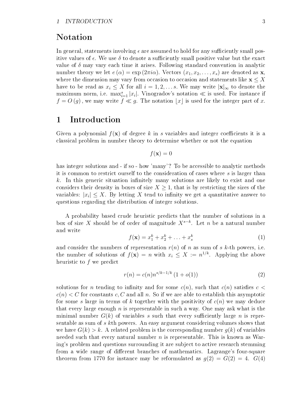#### 1 INTRODUCTION 3

## Notation

In general, statements involving  $\epsilon$  are assumed to hold for any sufficiently small positive values of  $\epsilon$ . We use  $\delta$  to denote a sufficiently small positive value but the exact value of  $\delta$  may vary each time it arises. Following standard convention in analytic number theory we let  $e(\alpha) = \exp(2\pi i\alpha)$ . Vectors  $(x_1, x_2, \ldots, x_s)$  are denoted as **x**. where the dimension may vary from occasion to occasion and statements like  $x \leq X$ have to be read as  $x_i \leq X$  for all  $i = 1, 2, \ldots s$ . We may write  $|\mathbf{x}|_{\infty}$  to denote the maximum norm, i.e.  $\max_{i=1}^s |x_i|$ . Vinogradov's notation  $\ll$  is used. For instance if  $f = O(g)$ , we may write  $f \ll g$ . The notation |x| is used for the integer part of x.

### <span id="page-4-0"></span>1 Introduction

Given a polynomial  $f(\mathbf{x})$  of degree k in s variables and integer coefficients it is a classical problem in number theory to determine whether or not the equation

$$
f(\mathbf{x}) = 0
$$

has integer solutions and - if so - how 'many'? To be accessible to analytic methods it is common to restrict ourself to the consideration of cases where s is larger than  $k$ . In this generic situation infinitely many solutions are likely to exist and one considers their density in boxes of size  $X \geq 1$ , that is by restricting the sizes of the variables:  $|x_i| \leq X$ . By letting X tend to infinity we get a quantitative answer to questions regarding the distribution of integer solutions.

A probability based crude heuristic predicts that the number of solutions in a box of size X should be of order of magnitude  $X^{s-k}$ . Let n be a natural number and write

<span id="page-4-1"></span>
$$
f(\mathbf{x}) = x_1^k + x_2^k + \ldots + x_s^k \tag{1}
$$

and consider the numbers of representation  $r(n)$  of n as sum of s k-th powers, i.e. the number of solutions of  $f(\mathbf{x}) = n$  with  $x_i \leq X := n^{1/k}$ . Applying the above heuristic to f we predict

<span id="page-4-2"></span>
$$
r(n) = c(n)n^{s/k - 1/k} \left(1 + o(1)\right)
$$
\n(2)

solutions for n tending to infinity and for some  $c(n)$ , such that  $c(n)$  satisfies  $c <$  $c(n) < C$  for constants c, C and all n. So if we are able to establish this asymptotic for some s large in terms of k together with the positivity of  $c(n)$  we may deduce that every large enough  $n$  is representable in such a way. One may ask what is the minimal number  $G(k)$  of variables s such that every sufficiently large n is representable as sum of s kth powers. An easy argument considering volumes shows that we have  $G(k) > k$ . A related problem is the corresponding number  $q(k)$  of variables needed such that every natural number  $n$  is representable. This is known as Waring's problem and questions surrounding it are subject to active research stemming from a wide range of different branches of mathematics. Lagrange's four-square theorem from 1770 for instance may be reformulated as  $q(2) = G(2) = 4$ .  $G(4)$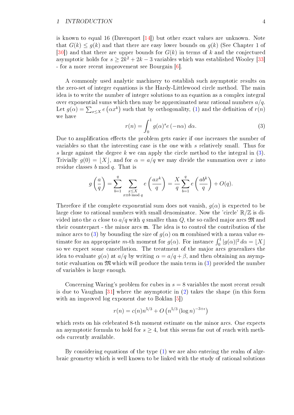#### 1 INTRODUCTION 4

is known to equal 16 (Davenport [\[14\]](#page-54-0)) but other exact values are unknown. Note that  $G(k) \leq g(k)$  and that there are easy lower bounds on  $g(k)$  (See Chapter 1 of [\[30\]](#page-55-0)) and that there are upper bounds for  $G(k)$  in terms of k and the conjectured asymptotic holds for  $s \geq 2k^2 + 2k - 3$  variables which was established Wooley [\[33\]](#page-55-1) - for a more recent improvement see Bourgain [\[6\]](#page-54-1).

A commonly used analytic machinery to establish such asymptotic results on the zero-set of integer equations is the Hardy-Littlewood circle method. The main idea is to write the number of integer solutions to an equation as a complex integral over exponential sums which then may be approximated near rational numbers  $a/q$ . Let  $g(\alpha) = \sum_{x \leq X} e(\alpha x^k)$  such that by orthogonality, [\(1\)](#page-4-1) and the definition of  $r(n)$ we have

<span id="page-5-0"></span>
$$
r(n) = \int_0^1 g(\alpha)^s e(-n\alpha) d\alpha.
$$
 (3)

Due to amplification effects the problem gets easier if one increases the number of variables so that the interesting case is the one with s relatively small. Thus for s large against the degree k we can apply the circle method to the integral in  $(3)$ . Trivially  $g(0) = |X|$ , and for  $\alpha = a/q$  we may divide the summation over x into residue classes b mod q. That is

$$
g\left(\frac{a}{q}\right) = \sum_{b=1}^{q} \sum_{\substack{x \le X \\ x \equiv b \bmod q}} e\left(\frac{ax^k}{q}\right) = \frac{X}{q} \sum_{b=1}^{q} e\left(\frac{ab^k}{q}\right) + O(q).
$$

Therefore if the complete exponential sum does not vanish,  $q(\alpha)$  is expected to be large close to rational numbers with small denominator. Now the 'circle'  $\mathbb{R}/\mathbb{Z}$  is divided into the  $\alpha$  close to  $a/q$  with q smaller than Q, the so called major arcs  $\mathfrak{M}$  and their counterpart - the minor arcs m. The idea is to control the contribution of the minor arcs to [\(3\)](#page-5-0) by bounding the size of  $g(\alpha)$  on  $\mathfrak{m}$  combined with a mean value estimate for an appropriate m-th moment for  $g(\alpha)$ . For instance  $\int_0^1 |g(\alpha)|^2 d\alpha = \lfloor X \rfloor$ so we expect some cancellation. The treatment of the major arcs generalizes the idea to evaluate  $q(\alpha)$  at  $a/q$  by writing  $\alpha = a/q + \beta$ , and then obtaining an asymptotic evaluation on  $\mathfrak{M}$  which will produce the main term in [\(3\)](#page-5-0) provided the number of variables is large enough.

Concerning Waring's problem for cubes in  $s = 8$  variables the most recent result is due to Vaughan [\[31\]](#page-55-2) where the asymptotic in [\(2\)](#page-4-2) takes the shape (in this form with an improved log exponent due to Boklan [\[5\]](#page-54-2))

$$
r(n) = c(n)n^{5/3} + O(n^{5/3} (\log n)^{-3+\epsilon})
$$

which rests on his celebrated 8-th moment estimate on the minor arcs. One expects an asymptotic formula to hold for  $s \geq 4$ , but this seems far out of reach with methods currently available.

By considering equations of the type  $(1)$  we are also entering the realm of algebraic geometry which is well known to be linked with the study of rational solutions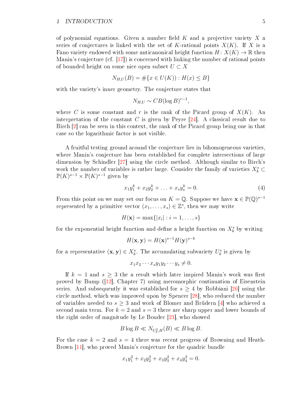of polynomial equations. Given a number field  $K$  and a projective variety  $X$  a series of conjectures is linked with the set of K-rational points  $X(K)$ . If X is a Fano variety endowed with some anticanonical height function  $H: X(K) \to \mathbb{R}$  then Manin's conjecture (cf. [\[17\]](#page-54-3)) is concerned with linking the number of rational points of bounded height on some nice open subset  $U \subset X$ 

$$
N_{H,U}(B) = \# \{ x \in U(K) \} : H(x) \le B \}
$$

with the variety's inner geometry. The conjecture states that

$$
N_{H,U} \sim CB(\log B)^{r-1},
$$

where C is some constant and r is the rank of the Picard group of  $X(K)$ . An interpretation of the constant C is given by Peyre  $[24]$ . A classical result due to Birch [\[2\]](#page-54-4) can be seen in this context, the rank of the Picard group being one in that case so the logarithmic factor is not visible.

A fruitful testing ground around the conjecture lies in bihomogeneous varieties, where Manin's conjecture has been established for complete intersections of large dimension by Schindler [\[27\]](#page-55-4) using the circle method. Although similar to Birch's work the number of variables is rather large. Consider the family of varieties  $X_k^s$  $\mathbb{P}(K)^{s-1} \times \mathbb{P}(K)^{s-1}$  given by

<span id="page-6-0"></span>
$$
x_1 y_1^k + x_2 y_2^k + \ldots + x_s y_s^k = 0.
$$
\n(4)

From this point on we may set our focus on  $K = \mathbb{Q}$ . Suppose we have  $\mathbf{x} \in \mathbb{P}(\mathbb{Q})^{s-1}$ represented by a primitive vector  $(x_1, \ldots, x_s) \in \mathbb{Z}^s$ , then we may write

$$
H(\mathbf{x}) = \max\{|x_i| : i = 1,\ldots,s\}
$$

for the exponential height function and define a height function on  $X^s_k$  by writing

$$
H(\mathbf{x}, \mathbf{y}) = H(\mathbf{x})^{s-1} H(\mathbf{y})^{s-k}
$$

for a representative  $(\mathbf{x}, \mathbf{y}) \in X_{k}^{s}$ . The accumulating subvariety  $U_{k}^{s}$  is given by

$$
x_1 x_2 \cdots x_s y_1 y_2 \cdots y_s \neq 0.
$$

If  $k = 1$  and  $s > 3$  the a result which later inspired Manin's work was first proved by Bump ([\[12\]](#page-54-5), Chapter 7) using meromorphic continuation of Eisenstein series. And subsequently it was established for  $s \geq 4$  by Robbiani [\[26\]](#page-55-5) using the circle method, which was improved upon by Spencer [\[28\]](#page-55-6), who reduced the number of variables needed to  $s \geq 3$  and work of Blomer and Brüdern [\[4\]](#page-54-6) who achieved a second main term. For  $k = 2$  and  $s = 3$  there are sharp upper and lower bounds of the right order of magnitude by Le Boudec [\[23\]](#page-55-7), who showed

$$
B\log B \ll N_{U_3^2, H}(B) \ll B\log B.
$$

For the case  $k = 2$  and  $s = 4$  there was recent progress of Browning and Heath-Brown [\[11\]](#page-54-7), who proved Manin's conjecture for the quadric bundle

$$
x_1y_1^2 + x_2y_2^2 + x_3y_3^2 + x_4y_4^2 = 0.
$$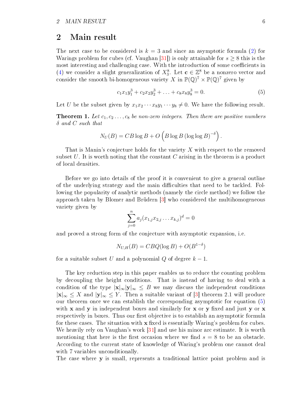### <span id="page-7-0"></span>2 Main result

The next case to be considered is  $k = 3$  and since an asymptotic formula [\(2\)](#page-4-2) for Warings problem for cubes (cf. Vaughan [\[31\]](#page-55-2)) is only attainable for  $s \geq 8$  this is the most interesting and challenging case. With the introduction of some coefficients in [\(4\)](#page-6-0) we consider a slight generalization of  $X_3^8$ . Let  $\mathbf{c} \in \mathbb{Z}^8$  be a nonzero vector and consider the smooth bi-homogeneous variety X in  $\mathbb{P}(\mathbb{Q})^7 \times \mathbb{P}(\mathbb{Q})^7$  given by

<span id="page-7-1"></span>
$$
c_1x_1y_1^3 + c_2x_2y_2^3 + \ldots + c_8x_8y_8^3 = 0.
$$
 (5)

Let U be the subset given by  $x_1x_2 \cdots x_8y_1 \cdots y_8 \neq 0$ . We have the following result.

**Theorem 1.** Let  $c_1, c_2, \ldots, c_8$  be non-zero integers. Then there are positive numbers  $\delta$  and  $C$  such that

$$
N_U(B) = CB \log B + O\left(B \log B (\log \log B)^{-\delta}\right).
$$

That is Manin's conjecture holds for the variety  $X$  with respect to the removed subset  $U$ . It is worth noting that the constant  $C$  arising in the theorem is a product of local densities.

Before we go into details of the proof it is convenient to give a general outline of the underlying strategy and the main difficulties that need to be tackled. Following the popularity of analytic methods (namely the circle method) we follow the approach taken by Blomer and Brüdern [\[3\]](#page-54-8) who considered the multihomogeneous variety given by

$$
\sum_{j=0}^{n} a_j (x_{1,j} x_{2,j} \dots x_{k,j})^d = 0
$$

and proved a strong form of the conjecture with asymptotic expansion, i.e.

$$
N_{U,H}(B) = CBQ(\log B) + O(B^{1-\delta})
$$

for a suitable subset U and a polynomial Q of degree  $k-1$ .

The key reduction step in this paper enables us to reduce the counting problem by decoupling the height conditions. That is instead of having to deal with a condition of the type  $|x|_{\infty}|y|_{\infty} \leq B$  we may discuss the independent conditions  $|x|_{\infty} \leq X$  and  $|y|_{\infty} \leq Y$ . Then a suitable variant of [\[3\]](#page-54-8) theorem 2.1 will produce our theorem once we can establish the corresponding asymptotic for equation [\(5\)](#page-7-1) with  $x$  and  $y$  in independent boxes and similarly for  $x$  or  $y$  fixed and just  $y$  or  $x$ respectively in boxes. Thus our first objective is to establish an asymptotic formula for these cases. The situation with  $x$  fixed is essentially Waring's problem for cubes. We heavily rely on Vaughan's work [\[31\]](#page-55-2) and use his minor arc estimate. It is worth mentioning that here is the first occasion where we find  $s = 8$  to be an obstacle. According to the current state of knowledge of Waring's problem one cannot deal with 7 variables unconditionally.

The case where **y** is small, represents a traditional lattice point problem and is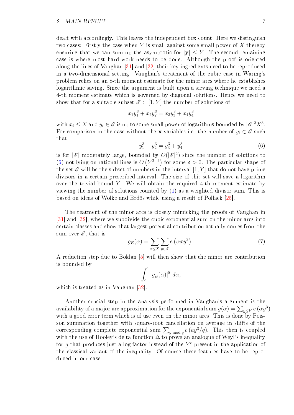dealt with accordingly. This leaves the independent box count. Here we distinguish two cases: Firstly the case when  $Y$  is small against some small power of  $X$  thereby ensuring that we can sum up the asymptotic for  $|y| \leq Y$ . The second remaining case is where most hard work needs to be done. Although the proof is oriented along the lines of Vaughan [\[31\]](#page-55-2) and [\[32\]](#page-55-8) their key ingredients need to be reproduced in a two-dimensional setting. Vaughan's treatment of the cubic case in Waring's problem relies on an 8-th moment estimate for the minor arcs where he establishes logarithmic saving. Since the argument is built upon a sieving technique we need a 4-th moment estimate which is governed by diagonal solutions. Hence we need to show that for a suitable subset  $\mathscr{E} \subset [1, Y]$  the number of solutions of

$$
x_1y_1^3 + x_2y_2^3 = x_3y_3^3 + x_4y_4^3
$$

with  $x_i \leq X$  and  $y_i \in \mathscr{E}$  is up to some small power of logarithms bounded by  $|\mathscr{E}|^2 X^3$ . For comparison in the case without the x variables i.e. the number of  $y_i \in \mathscr{E}$  such that

<span id="page-8-0"></span>
$$
y_1^3 + y_2^3 = y_3^3 + y_4^3 \tag{6}
$$

is for  $|\mathscr{E}|$  moderately large, bounded by  $O(|\mathscr{E}|^2)$  since the number of solutions to [\(6\)](#page-8-0) not lying on rational lines is  $O(Y^{2-\delta})$  for some  $\delta > 0$ . The particular shape of the set  $\mathscr E$  will be the subset of numbers in the interval  $[1, Y]$  that do not have prime divisors in a certain prescribed interval. The size of this set will save a logarithm over the trivial bound Y. We will obtain the required 4-th moment estimate by viewing the number of solutions counted by [\(1\)](#page-4-1) as a weighted divisor sum. This is based on ideas of Wolke and Erdös while using a result of Pollack [\[25\]](#page-55-9).

The teatment of the minor arcs is closely mimicking the proofs of Vaughan in [\[31\]](#page-55-2) and [\[32\]](#page-55-8), where we subdivide the cubic exponential sum on the minor arcs into certain classes and show that largest potential contribution actually comes from the sum over  $\mathscr{E}$ , that is

<span id="page-8-1"></span>
$$
g_E(\alpha) = \sum_{x \le X} \sum_{y \in \mathscr{E}} e\left(\alpha x y^3\right). \tag{7}
$$

A reduction step due to Boklan [\[5\]](#page-54-2) will then show that the minor arc contribution is bounded by

$$
\int_0^1 |g_E(\alpha)|^8 \ d\alpha,
$$

which is treated as in Vaughan [\[32\]](#page-55-8).

Another crucial step in the analysis performed in Vaughan's argument is the availability of a major arc approximation for the exponential sum  $g(\alpha)=\sum_{y\leq Y}e\left(\alpha y^3\right)$ with a good error term which is of use even on the minor arcs. This is done by Poisson summation together with square-root cancellation on average in shifts of the corresponding complete exponential sum  $\sum_{y \bmod q} e(ay^3/q)$ . This then is coupled with the use of Hooley's delta function  $\Delta$  to prove an analogue of Weyl's inequality for g that produces just a log factor instead of the  $Y^{\epsilon}$  present in the application of the classical variant of the inequality. Of course these features have to be reproduced in our case.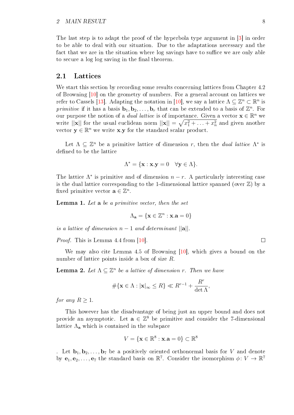The last step is to adapt the proof of the hyperbola type argument in [\[3\]](#page-54-8) in order to be able to deal with our situation. Due to the adaptations necessary and the fact that we are in the situation where log savings have to suffice we are only able to secure a log log saving in the final theorem.

#### <span id="page-9-0"></span>2.1 Lattices

We start this section by recording some results concerning lattices from Chapter 4.2 of Browning [\[10\]](#page-54-9) on the geometry of numbers. For a general account on lattices we refer to Cassels [\[13\]](#page-54-10). Adapting the notation in [\[10\]](#page-54-9), we say a lattice  $\Lambda \subseteq \mathbb{Z}^n \subset \mathbb{R}^n$  is primitive if it has a basis  $\mathbf{b}_1, \mathbf{b}_2, \ldots, \mathbf{b}_r$  that can be extended to a basis of  $\mathbb{Z}^n$ . For our purpose the notion of a *dual lattice* is of importance. Given a vector  $\mathbf{x} \in \mathbb{R}^n$  we write  $||\mathbf{x}||$  for the usual euclidean norm  $||\mathbf{x}|| = \sqrt{x_1^2 + \ldots + x_n^2}$  and given another vector  $\mathbf{y} \in \mathbb{R}^n$  we write **x**.y for the standard scalar product.

Let  $\Lambda \subseteq \mathbb{Z}^n$  be a primitive lattice of dimension r, then the *dual lattice*  $\Lambda^*$  is defined to be the lattice

$$
\Lambda^* = \{ \mathbf{x} : \mathbf{x} . \mathbf{y} = 0 \quad \forall \mathbf{y} \in \Lambda \}.
$$

The lattice  $\Lambda^*$  is primitive and of dimension  $n-r$ . A particularly interesting case is the dual lattice corresponding to the 1-dimensional lattice spanned (over  $\mathbb{Z}$ ) by a fixed primitive vector  $\mathbf{a} \in \mathbb{Z}^n$ .

<span id="page-9-1"></span>**Lemma 1.** Let  $a$  be a primitive vector, then the set

$$
\Lambda_{\mathbf{a}} = \{ \mathbf{x} \in \mathbb{Z}^n : \mathbf{x}.\mathbf{a} = 0 \}
$$

is a lattice of dimension  $n-1$  and determinant  $||\mathbf{a}||$ .

Proof. This is Lemma 4.4 from [\[10\]](#page-54-9).

 $\Box$ 

We may also cite Lemma 4.5 of Browning [\[10\]](#page-54-9), which gives a bound on the number of lattice points inside a box of size R.

**Lemma 2.** Let  $\Lambda \subseteq \mathbb{Z}^n$  be a lattice of dimension r. Then we have

$$
\#\{\mathbf{x}\in\Lambda:|\mathbf{x}|_{\infty}\leq R\}\ll R^{r-1}+\frac{R^r}{\det\Lambda},
$$

for any  $R > 1$ .

This however has the disadvantage of being just an upper bound and does not provide an asymptotic. Let  $\mathbf{a} \in \mathbb{Z}^8$  be primitive and consider the 7-dimensional lattice  $\Lambda_a$  which is contained in the subspace

$$
V = \{ \mathbf{x} \in \mathbb{R}^8 : \mathbf{x}.\mathbf{a} = 0 \} \subset \mathbb{R}^8
$$

. Let  $\mathbf{b}_1, \mathbf{b}_2, \ldots, \mathbf{b}_7$  be a positively oriented orthonormal basis for V and denote by  $e_1, e_2, \ldots, e_7$  the standard basis on  $\mathbb{R}^7$ . Consider the isomorphism  $\phi \colon V \to \mathbb{R}^7$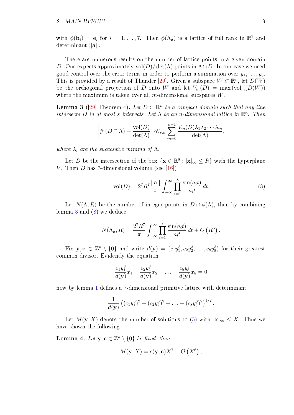#### 2 MAIN RESULT 9

with  $\phi(\mathbf{b}_i) = \mathbf{e}_i$  for  $i = 1, ..., 7$ . Then  $\phi(\Lambda_{\mathbf{a}})$  is a lattice of full rank in  $\mathbb{R}^7$  and determinant ||a||.

There are numerous results on the number of lattice points in a given domain D. One expects approximately vol $(D)/\det(\Lambda)$  points in  $\Lambda \cap D$ . In our case we need good control over the error terms in order to perform a summation over  $y_1, \ldots, y_8$ . This is provided by a result of Thunder [\[29\]](#page-55-10). Given a subspace  $W \subset \mathbb{R}^n$ , let  $D(W)$ be the orthogonal projection of D onto W and let  $V_m(D) = \max(\text{vol}_m(D(W)))$ where the maximum is taken over all  $m$ -dimensional subspaces  $W$ .

<span id="page-10-0"></span>**Lemma 3** ([\[29\]](#page-55-10) Theorem 4). Let  $D \subset \mathbb{R}^n$  be a compact domain such that any line intersects  $D$  in at most s intervals. Let  $\Lambda$  be an n-dimensional lattice in  $\mathbb{R}^n$ . Then

$$
\left| \# (D \cap \Lambda) - \frac{\text{vol}(D)}{\det(\Lambda)} \right| \ll_{s,n} \sum_{m=0}^{n-1} \frac{V_m(D) \lambda_1 \lambda_2 \cdots \lambda_m}{\det(\Lambda)},
$$

where  $\lambda_i$  are the successive minima of  $\Lambda$ .

Let D be the intersection of the box  $\{x \in \mathbb{R}^8 : |x|_{\infty} \leq R\}$  with the hyperplane V. Then D has 7-dimensional volume (see [\[16\]](#page-54-11))

<span id="page-10-1"></span>
$$
vol(D) = 27 R7 \frac{||\mathbf{a}||}{\pi} \int_{-\infty}^{\infty} \prod_{i=1}^{8} \frac{\sin(a_i t)}{a_i t} dt.
$$
 (8)

Let  $N(\Lambda, R)$  be the number of integer points in  $D \cap \phi(\Lambda)$ , then by combining lemma [3](#page-10-0) and [\(8\)](#page-10-1) we deduce

$$
N(\Lambda_{\mathbf{a}}, R) = \frac{2^7 R^7}{\pi} \int_{-\infty}^{\infty} \prod_{i=1}^{8} \frac{\sin(a_i t)}{a_i t} dt + O\left(R^6\right).
$$

Fix  $\mathbf{y}, \mathbf{c} \in \mathbb{Z}^n \setminus \{0\}$  and write  $d(\mathbf{y}) = (c_1y_1^3, c_2y_2^3, \ldots, c_8y_8^3)$  for their greatest common divisor. Evidently the equation

$$
\frac{c_1y_1^3}{d(\mathbf{y})}x_1 + \frac{c_2y_2^3}{d(\mathbf{y})}x_2 + \ldots + \frac{c_8y_8^3}{d(\mathbf{y})}x_8 = 0
$$

now by lemma [1](#page-9-1) defines a 7-dimensional primitive lattice with determinant

$$
\frac{1}{d(\mathbf{y})}\left( (c_1y_1^3)^2 + (c_2y_2^3)^2 + \ldots + (c_8y_8^3)^2 \right)^{1/2}.
$$

Let  $M(\mathbf{y}, X)$  denote the number of solutions to [\(5\)](#page-7-1) with  $|\mathbf{x}|_{\infty} \leq X$ . Thus we have shown the following

<span id="page-10-2"></span>**Lemma 4.** Let  $y, c \in \mathbb{Z}^n \setminus \{0\}$  be fixed, then

$$
M(\mathbf{y}, X) = c(\mathbf{y}, \mathbf{c})X^7 + O\left(X^6\right),
$$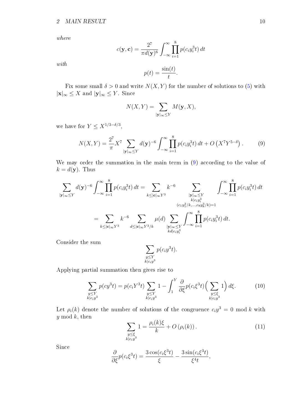where

$$
c(\mathbf{y}, \mathbf{c}) = \frac{2^7}{\pi d(\mathbf{y})^6} \int_{-\infty}^{\infty} \prod_{i=1}^8 p(c_i y_i^3 t) dt
$$

with

$$
p(t) = \frac{\sin(t)}{t}.
$$

Fix some small  $\delta > 0$  and write  $N(X, Y)$  for the number of solutions to [\(5\)](#page-7-1) with  $|\mathbf{x}|_{\infty} \leq X$  and  $|\mathbf{y}|_{\infty} \leq Y$ . Since

$$
N(X,Y) = \sum_{|\mathbf{y}|_{\infty} \leq Y} M(\mathbf{y}, X),
$$

we have for  $Y \leq X^{1/3 - \delta/3}$ ,

<span id="page-11-0"></span>
$$
N(X,Y) = \frac{2^7}{\pi} X^7 \sum_{|\mathbf{y}|\infty \le Y} d(\mathbf{y})^{-6} \int_{-\infty}^{\infty} \prod_{i=1}^{8} p(c_i y_i^3 t) dt + O\left(X^7 Y^{5-\delta}\right).
$$
 (9)

We may order the summation in the main term in  $(9)$  according to the value of  $k = d(\mathbf{y})$ . Thus

$$
\sum_{|\mathbf{y}|_{\infty}\leq Y} d(\mathbf{y})^{-6} \int_{-\infty}^{\infty} \prod_{i=1}^{8} p(c_i y_i^3 t) dt = \sum_{k \leq |\mathbf{c}|_{\infty} Y^3} k^{-6} \sum_{\substack{|\mathbf{y}|_{\infty} \leq Y \\ k|c_i y_i^3 \\ (c_1 y_1^3 / k, \dots, c_8 y_8^3 / k) = 1}} \int_{-\infty}^{\infty} \prod_{i=1}^{8} p(c_i y_i^3 t) dt
$$

$$
= \sum_{k \leq |\mathbf{c}|_{\infty} Y^3} k^{-6} \sum_{d \leq |\mathbf{c}|_{\infty} Y^3 / k} \mu(d) \sum_{\substack{|\mathbf{y}|_{\infty} \leq Y \\ k d|c_i y_i^3}} \int_{-\infty}^{\infty} \prod_{i=1}^{8} p(c_i y_i^3 t) dt.
$$

Consider the sum

$$
\sum_{\substack{y \le Y \\ k \mid c_i y^3}} p(c_i y^3 t).
$$

Applying partial summation then gives rise to

<span id="page-11-2"></span>
$$
\sum_{\substack{y \le Y \\ k|c_i y^3}} p(c y^3 t) = p(c_i Y^3 t) \sum_{\substack{y \le Y \\ k|c_i y^3}} 1 - \int_1^Y \frac{\partial}{\partial \xi} p(c_i \xi^3 t) \Big(\sum_{\substack{y \le \xi \\ k|c_i y^3}} 1\Big) d\xi. \tag{10}
$$

Let  $\rho_i(k)$  denote the number of solutions of the congruence  $c_i y^3 = 0 \mod k$  with  $y \mod k$ , then

<span id="page-11-1"></span>
$$
\sum_{\substack{y \le \xi \\ k|c_iy^3}} 1 = \frac{\rho_i(k)\xi}{k} + O\left(\rho_i(k)\right). \tag{11}
$$

Since

$$
\frac{\partial}{\partial \xi}p(c_i\xi^3t) = \frac{3\cos(c_i\xi^3t)}{\xi} - \frac{3\sin(c_i\xi^3t)}{\xi^4t},
$$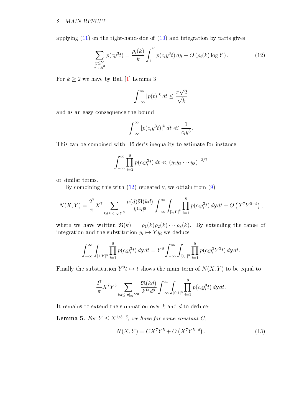applying [\(11\)](#page-11-1) on the right-hand-side of [\(10\)](#page-11-2) and integration by parts gives

<span id="page-12-0"></span>
$$
\sum_{\substack{y \le Y \\ k|c_i y^3}} p(c y^3 t) = \frac{\rho_i(k)}{k} \int_1^Y p(c_i y^3 t) dy + O(\rho_i(k) \log Y). \tag{12}
$$

For  $k \geq 2$  we have by Ball [\[1\]](#page-54-12) Lemma 3

$$
\int_{-\infty}^{\infty} |p(t)|^k dt \le \frac{\pi\sqrt{2}}{\sqrt{k}}
$$

and as an easy consequence the bound

$$
\int_{-\infty}^{\infty} |p(c_i y^3 t)|^k dt \ll \frac{1}{c_i y^3}.
$$

This can be combined with Hölder's inequality to estimate for instance

$$
\int_{-\infty}^{\infty} \prod_{i=2}^{8} p(c_i y_i^3 t) dt \ll (y_1 y_2 \cdots y_8)^{-3/7}
$$

or similar terms.

By combining this with  $(12)$  repeatedly, we obtain from  $(9)$ 

$$
N(X,Y) = \frac{2^7}{\pi} X^7 \sum_{kd \leq |\mathbf{c}|_{\infty} Y^3} \frac{\mu(d) \Re(kd)}{k^{14} d^8} \int_{-\infty}^{\infty} \int_{[1,Y]^8} \prod_{i=1}^8 p(c_i y_i^3 t) \, dy dt + O\left(X^7 Y^{5-\delta}\right),
$$

where we have written  $\Re(k) = \rho_1(k)\rho_2(k)\cdots\rho_8(k)$ . By extending the range of integration and the substitution  $y_i \mapsto Y y_i$  we deduce

$$
\int_{-\infty}^{\infty} \int_{[1,Y]^8} \prod_{i=1}^8 p(c_i y_i^3 t) dy dt = Y^8 \int_{-\infty}^{\infty} \int_{[0,1]^8} \prod_{i=1}^8 p(c_i y_i^3 Y^3 t) dy dt.
$$

Finally the substitution  $Y^3t \mapsto t$  shows the main term of  $N(X, Y)$  to be equal to

$$
\frac{2^7}{\pi} X^7 Y^5 \sum_{kd \leq |\mathbf{c}|_{\infty} Y^3} \frac{\Re(kd)}{k^{14} d^8} \int_{-\infty}^{\infty} \int_{[0,1]^8} \prod_{i=1}^8 p(c_i y_i^3 t) \, dy dt.
$$

It remains to extend the summation over  $k$  and  $d$  to deduce:

**Lemma 5.** For  $Y \leq X^{1/3-\delta}$ , we have for some constant C,

<span id="page-12-1"></span>
$$
N(X,Y) = CX^{7}Y^{5} + O(X^{7}Y^{5-\delta}).
$$
\n(13)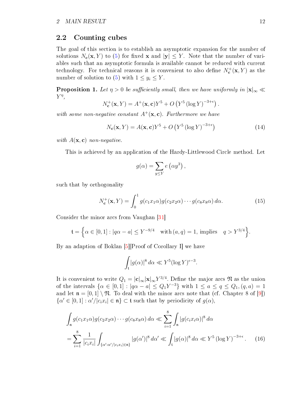### <span id="page-13-0"></span>2.2 Counting cubes

The goal of this section is to establish an asymptotic expansion for the number of solutions  $N_c(\mathbf{x}, Y)$  to [\(5\)](#page-7-1) for fixed **x** and  $|\mathbf{y}| \leq Y$ . Note that the number of variables such that an asymptotic formula is available cannot be reduced with current technology. For technical reasons it is convenient to also define  $N_c^+({\bf x}, Y)$  as the number of solution to [\(5\)](#page-7-1) with  $1 \leq y_i \leq Y$ .

<span id="page-13-3"></span>**Proposition 1.** Let  $\eta > 0$  be sufficiently small, then we have uniformly in  $|x|_{\infty} \ll$  $Y^{\eta}$ ,

$$
N_{\mathbf{c}}^{+}(\mathbf{x}, Y) = A^{+}(\mathbf{x}, \mathbf{c})Y^{5} + O(Y^{5} (\log Y)^{-3+\epsilon})
$$

with some non-negative constant  $A^+({\bf x}, {\bf c})$ . Furthermore we have

<span id="page-13-4"></span>
$$
N_{\mathbf{c}}(\mathbf{x}, Y) = A(\mathbf{x}, \mathbf{c})Y^5 + O\left(Y^5 \left(\log Y\right)^{-3+\epsilon}\right) \tag{14}
$$

.

with  $A(\mathbf{x}, \mathbf{c})$  non-negative.

This is achieved by an application of the Hardy-Littlewood Circle method. Let

$$
g(\alpha) = \sum_{y \le Y} e(\alpha y^3),
$$

such that by orthogonality

<span id="page-13-1"></span>
$$
N_{\mathbf{c}}^{+}(\mathbf{x}, Y) = \int_{0}^{1} g(c_{1}x_{1}\alpha)g(c_{2}x_{2}\alpha)\cdots g(c_{8}x_{8}\alpha) d\alpha.
$$
 (15)

Consider the minor arcs from Vaughan [\[31\]](#page-55-2)

$$
\mathfrak{t} = \left\{ \alpha \in [0, 1] : |q\alpha - a| \le Y^{-9/4} \quad \text{with } (a, q) = 1, \text{ implies } q > Y^{3/4} \right\}.
$$

By an adaption of Boklan [\[5\]](#page-54-2)[Proof of Corollary I] we have

<span id="page-13-2"></span>
$$
\int_{\mathfrak{t}} |g(\alpha)|^8 \, d\alpha \ll Y^5 (\log Y)^{\epsilon - 3}.
$$

It is convenient to write  $Q_1=|\mathbf{c}|_{\infty}|\mathbf{x}|_{\infty}Y^{3/4}.$  Define the major arcs  $\mathfrak N$  as the union of the intervals  $\{\alpha \in [0,1] : |q\alpha - a| \leq Q_1Y^{-3}\}\$  with  $1 \leq a \leq q \leq Q_1, (q, a) = 1$ and let  $\mathfrak{n} = [0,1] \setminus \mathfrak{N}$ . To deal with the minor arcs note that (cf. Chapter 8 of  $[9]$ )  $\{\alpha' \in [0,1]: \alpha'/|c_i x_i| \in \mathfrak{n}\}\subset \mathfrak{t}$  such that by periodicity of  $g(\alpha)$ ,

$$
\int_{\mathfrak{n}} g(c_1 x_1 \alpha) g(c_2 x_2 \alpha) \cdots g(c_8 x_8 \alpha) d\alpha \ll \sum_{i=1}^{8} \int_{\mathfrak{n}} |g(c_i x_i \alpha)|^8 d\alpha
$$
  
= 
$$
\sum_{i=1}^{8} \frac{1}{|c_i x_i|} \int_{\{\alpha':\alpha'/|c_i x_i| \in \mathfrak{n}\}} |g(\alpha')|^8 d\alpha' \ll \int_{\mathfrak{t}} |g(\alpha)|^8 d\alpha \ll Y^5 (\log Y)^{-3+\epsilon}.
$$
 (16)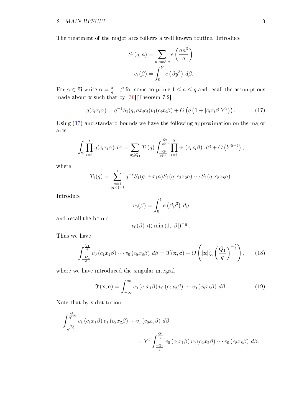### 2 MAIN RESULT 13

The treatment of the major arcs follows a well known routine. Introduce

$$
S_1(q, a) = \sum_{n \bmod q} e\left(\frac{an^3}{q}\right)
$$

$$
v_1(\beta) = \int_0^Y e\left(\beta y^3\right) d\beta.
$$

For  $\alpha \in \mathfrak{N}$  write  $\alpha = \frac{a}{q} + \beta$  for some co prime  $1 \le a \le q$  and recall the assumptions made about **x** such that by  $[30]$ [Theorem 7.2]

<span id="page-14-0"></span>
$$
g(c_i x_i \alpha) = q^{-1} S_1(q, a x_i c_i) v_1(c_i x_i \beta) + O\left(q\left(1 + |c_i x_i \beta|Y^3\right)\right). \tag{17}
$$

Using [\(17\)](#page-14-0) and standard bounds we have the following approximation on the major arcs

$$
\int_{\mathfrak{N}} \prod_{i=1}^{8} g(c_i x_i \alpha) d\alpha = \sum_{q \leq Q_1} T_1(q) \int_{\frac{-Q_1}{qY^3}}^{\frac{Q_1}{qY^3}} \prod_{i=1}^{8} v_1(c_i x_i \beta) d\beta + O(Y^{5-\delta}),
$$

where

$$
T_1(q) = \sum_{\substack{a=1 \ (q,a)=1}}^q q^{-8} S_1(q, c_1 x_1 a) S_1(q, c_2 x_2 a) \cdots S_1(q, c_8 x_8 a).
$$

Introduce

$$
v_0(\beta) = \int_0^1 e(\beta y^3) dy
$$

and recall the bound

$$
v_0(\beta) \ll \min\left(1, |\beta|\right)^{-\frac{1}{3}}.
$$

Thus we have

<span id="page-14-2"></span>
$$
\int_{\frac{-Q_1}{q}}^{\frac{Q_1}{q}} v_0 \left( c_1 x_1 \beta \right) \cdots v_0 \left( c_8 x_8 \beta \right) d\beta = \mathfrak{I}'(\mathbf{x}, \mathbf{c}) + O\left( \left| \mathbf{x} \right|_\infty^3 \left( \frac{Q_1}{q} \right)^{-\frac{5}{3}} \right), \quad (18)
$$

where we have introduced the singular integral

<span id="page-14-1"></span>
$$
\mathfrak{I}'(\mathbf{x}, \mathbf{c}) = \int_{-\infty}^{\infty} v_0 \left( c_1 x_1 \beta \right) v_0 \left( c_2 x_2 \beta \right) \cdots v_0 \left( c_8 x_8 \beta \right) d\beta. \tag{19}
$$

Note that by substitution

$$
\int_{\frac{-Q_1}{qY^3}}^{\frac{Q_1}{qY^3}} v_1(c_1x_1\beta) v_1(c_2x_2\beta) \cdots v_1(c_8x_8\beta) d\beta
$$
  
=  $Y^5 \int_{\frac{-Q_1}{q}}^{\frac{Q_1}{q}} v_0(c_1x_1\beta) v_0(c_2x_2\beta) \cdots v_0(c_8x_8\beta) d\beta.$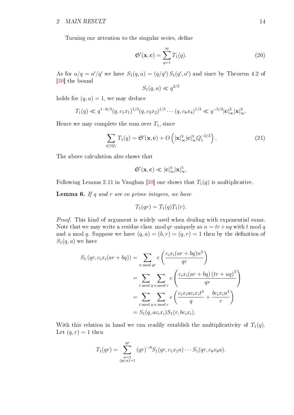#### 2 MAIN RESULT  $14$

Turning our attention to the singular series, define

<span id="page-15-0"></span>
$$
\mathfrak{S}'(\mathbf{x}, \mathbf{c}) = \sum_{q=1}^{\infty} T_1(q). \tag{20}
$$

As for  $a/q = a'/q'$  we have  $S_1(q, a) = (q/q') S_1(q', a')$  and since by Theorem 4.2 of [\[30\]](#page-55-0) the bound

$$
S_1(q, a) \ll q^{2/3}
$$

holds for  $(q, a) = 1$ , we may deduce

$$
T_1(q) \ll q^{1-8/3} (q, c_1 x_1)^{1/3} (q, c_2 x_2)^{1/3} \cdots (q, c_8 x_8)^{1/3} \ll q^{-5/3} |\mathbf{c}|_{\infty}^3 |\mathbf{x}|_{\infty}^3.
$$

Hence we may complete the sum over  $T_1$ , since

<span id="page-15-1"></span>
$$
\sum_{q \leq Q_1} T_1(q) = \mathfrak{S}'(\mathbf{x}, \mathbf{c}) + O\left(|\mathbf{x}|_\infty^3 |\mathbf{c}|_\infty^3 Q_1^{-2/3}\right). \tag{21}
$$

The above calculation also shows that

$$
\mathfrak{S}'(x,c)\ll |c|_{\infty}^3|x|_{\infty}^3.
$$

Following Lemma 2.11 in Vaughan [\[30\]](#page-55-0) one shows that  $T_1(q)$  is multiplicative.

**Lemma 6.** If  $q$  and  $r$  are co prime integers, we have

$$
T_1(qr) = T_1(q)T_1(r).
$$

Proof. This kind of argument is widely used when dealing with exponential sums. Note that we may write a residue class mod qr uniquely as  $n = tr + uq$  with t mod q and u mod q. Suppose we have  $(q, a) = (b, r) = (q, r) = 1$  then by the definition of  $S_1(q, a)$  we have

$$
S_1 (qr, c_i x_i (ar + bq)) = \sum_{n \bmod qr} e\left(\frac{c_i x_i (ar + bq)n^3}{qr}\right)
$$
  
= 
$$
\sum_{t \bmod q} \sum_{u \bmod r} e\left(\frac{c_i x_i (ar + bq) (tr + uq)^3}{qr}\right)
$$
  
= 
$$
\sum_{t \bmod q} \sum_{u \bmod r} e\left(\frac{c_i x_i ac_i x_i t^3}{q} + \frac{bc_i x_i u^3}{r}\right)
$$
  
= 
$$
S_1(q, ac_i x_i) S_1(r, bc_i x_i).
$$

With this relation in hand we can readily establish the multiplicativity of  $T_1(q)$ . Let  $(q, r) = 1$  then

$$
T_1(qr) = \sum_{\substack{a=1 \ (qr,a)=1}}^{qr} (qr)^{-8} S_1(qr, c_1x_1a) \cdots S_1(qr, c_8x_8a).
$$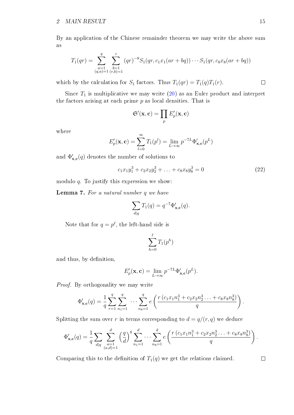By an application of the Chinese remainder theorem we may write the above sum as

$$
T_1(qr) = \sum_{\substack{a=1 \ (q,a)=1 \ (r,b)=1}}^q \sum_{\substack{b=1 \ (r,b)=1}}^r (qr)^{-8} S_1(qr, c_1x_1(ar+ bq)) \cdots S_1(qr, c_8x_8(ar+ bq))
$$

which by the calculation for  $S_1$  factors. Thus  $T_1(qr) = T_1(q)T_1(r)$ .

Since  $T_1$  is multiplicative we may write  $(20)$  as an Euler product and interpret the factors arising at each prime  $p$  as local densities. That is

$$
\mathfrak{S}'(\mathbf{x}, \mathbf{c}) = \prod_p E'_p(\mathbf{x}, \mathbf{c})
$$

where

$$
E'_p(\mathbf{x}, \mathbf{c}) = \sum_{l=0}^{\infty} T_1(p^l) = \lim_{L \to \infty} p^{-7L} \Phi'_{\mathbf{x}, \mathbf{c}}(p^L)
$$

and  $\Phi_{\mathbf{x},\mathbf{c}}'(q)$  denotes the number of solutions to

<span id="page-16-0"></span>
$$
c_1x_1y_1^3 + c_2x_2y_2^3 + \ldots + c_8x_8y_8^3 = 0 \tag{22}
$$

modulo q. To justify this expression we show:

Lemma 7. For a natural number q we have

$$
\sum_{d|q} T_1(q) = q^{-7} \Phi'_{\mathbf{x},\mathbf{c}}(q).
$$

Note that for  $q = p^{\ell}$ , the left-hand side is

$$
\sum_{h=0}^{\ell} T_1(p^h)
$$

and thus, by definition,

$$
E'_p(\mathbf{x}, \mathbf{c}) = \lim_{L \to \infty} p^{-7L} \Phi'_{\mathbf{x}, \mathbf{c}}(p^L).
$$

Proof. By orthogonality we may write

$$
\Phi'_{\mathbf{x},\mathbf{c}}(q) = \frac{1}{q} \sum_{r=1}^{q} \sum_{n_1=1}^{q} \cdots \sum_{n_8=1}^{q} e\left(\frac{r(c_1x_1n_1^3 + c_2x_2n_2^3 \dots + c_8x_8n_8^3)}{q}\right).
$$

Splitting the sum over r in terms corresponding to  $d = q/(r, q)$  we deduce

$$
\Phi_{\mathbf{x},\mathbf{c}}'(q) = \frac{1}{q} \sum_{d|q} \sum_{\substack{a=1 \\ (a,d)=1}}^d \left(\frac{q}{d}\right)^8 \sum_{n_1=1}^d \cdots \sum_{n_8=1}^d e\left(\frac{r\left(c_1x_1n_1^3 + c_2x_2n_2^3 \ldots + c_8x_8n_8^3\right)}{q}\right).
$$

Comparing this to the definition of  $T_1(q)$  we get the relations claimed.

 $\Box$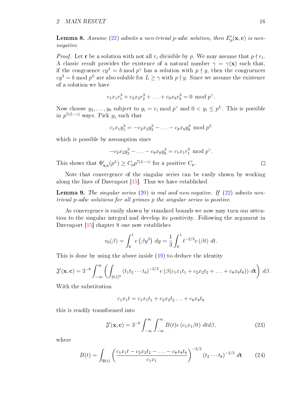#### 2 MAIN RESULT 16

<span id="page-17-3"></span>**Lemma 8.** Assume [\(22\)](#page-16-0) admits a non-trivial p-adic solution, then  $E'_p(\mathbf{x}, \mathbf{c})$  is nonnegative.

*Proof.* Let **r** be a solution with not all  $r_i$  divisible by p. We may assume that  $p \nmid r_1$ . A classic result provides the existence of a natural number  $\gamma = \gamma(\mathbf{x})$  such that, if the congruence  $cy^3 = b \mod p^{\gamma}$  has a solution with  $p \nmid y$ , then the congruences  $cy^3 = b \mod p^L$  are also soluble for  $L \ge \gamma$  with  $p \nmid y$ . Since we assume the existence of a solution we have

$$
c_1x_1r_1^3 + c_2x_2r_2^3 + \ldots + c_8x_8r_8^3 = 0 \mod p^{\gamma}.
$$

Now choose  $y_2, \ldots, y_8$  subject to  $y_i = r_i \bmod p^{\gamma}$  and  $0 < y_i \le p^L$ . This is possible in  $p^{7(L-\gamma)}$  ways. Pick  $y_1$  such that

$$
c_1x_1y_1^3 = -c_2x_2y_2^3 - \ldots - c_8x_8y_8^3 \mod p^L
$$

which is possible by assumption since

$$
-c_2x_2y_2^3-\ldots-c_8x_8y_8^3=c_1x_1r_1^3 \bmod p^{\gamma}.
$$

This shows that  $\Phi'_{\mathbf{x},\mathbf{c}}(p^L) \geq C_p p^{7(L-\gamma)}$  for a positive  $C_p$ .

Note that convergence of the singular series can be easily shown by working along the lines of Davenport [\[15\]](#page-54-14). Thus we have established

<span id="page-17-2"></span>**Lemma 9.** The singular series  $(20)$  is real and non-negative. If  $(22)$  admits nontrivial p-adic solutions for all primes p the singular series is positive.

As convergence is easily shown by standard bounds we now may turn our attention to the singular integral and develop its positivity. Following the argument in Davenport [\[15\]](#page-54-14) chapter 8 one now establishes

$$
v_0(\beta) = \int_0^1 e(\beta y^3) \ dy = \frac{1}{3} \int_0^1 t^{-2/3} e(\beta t) \ dt.
$$

This is done by using the above inside [\(19\)](#page-14-1) to deduce the identity

$$
\mathfrak{J}'(\mathbf{x}, \mathbf{c}) = 3^{-8} \int_{-\infty}^{\infty} \left( \int_{[0,1]^8} \left( t_1 t_2 \cdots t_8 \right)^{-2/3} e \left( \beta (c_1 x_1 t_1 + c_2 x_2 t_2 + \ldots + c_8 x_8 t_8) \right) d\mathbf{t} \right) d\beta.
$$

With the substitution

$$
c_1x_1t = c_1x_1t_1 + c_2x_2t_2 \ldots + c_8x_8t_8
$$

this is readily transformed into

<span id="page-17-0"></span>
$$
\mathfrak{J}'(\mathbf{x}, \mathbf{c}) = 3^{-8} \int_{-\infty}^{\infty} \int_{-\infty}^{\infty} B(t) e(c_1 x_1 \beta t) dt d\beta,
$$
 (23)

where

<span id="page-17-1"></span>
$$
B(t) = \int_{\mathfrak{B}(t)} \left( \frac{c_1 x_1 t - c_2 x_2 t_2 - \dots - c_8 x_8 t_8}{c_1 x_1} \right)^{-2/3} \left( t_2 \cdots t_8 \right)^{-2/3} dt \tag{24}
$$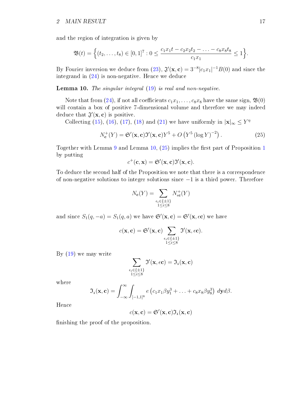and the region of integration is given by

$$
\mathfrak{B}(t) = \Big\{ (t_2, \ldots, t_8) \in [0, 1]^7 : 0 \le \frac{c_1 x_1 t - c_2 x_2 t_2 - \ldots - c_8 x_8 t_8}{c_1 x_1} \le 1 \Big\}.
$$

By Fourier inversion we deduce from [\(23\)](#page-17-0),  $\mathfrak{J}'(\mathbf{x}, \mathbf{c}) = 3^{-8} |c_1 x_1|^{-1} B(0)$  and since the integrand in [\(24\)](#page-17-1) is non-negative. Hence we deduce

<span id="page-18-0"></span>Lemma 10. The singular integral [\(19\)](#page-14-1) is real and non-negative.

Note that from [\(24\)](#page-17-1), if not all coefficients  $c_1x_1, \ldots, c_8x_8$  have the same sign,  $\mathfrak{B}(0)$ will contain a box of positive 7-dimensional volume and therefore we may indeed deduce that  $\mathfrak{J}'(\mathbf{x}, \mathbf{c})$  is positive.

Collecting [\(15\)](#page-13-1), [\(16\)](#page-13-2), [\(17\)](#page-14-0), [\(18\)](#page-14-2) and [\(21\)](#page-15-1) we have uniformly in  $|x|_{\infty} \leq Y^{\eta}$ 

<span id="page-18-1"></span>
$$
N_{\mathbf{c}}^{+}(Y) = \mathfrak{S}'(\mathbf{x}, \mathbf{c})\mathfrak{I}'(\mathbf{x}, \mathbf{c})Y^5 + O\left(Y^5\left(\log Y\right)^{-2}\right). \tag{25}
$$

Together with Lemma [9](#page-17-2) and Lemma  $10$  $10$ ,  $(25)$  implies the first part of Proposition 1 by putting

$$
c^{+}(\mathbf{c}, \mathbf{x}) = \mathfrak{S}'(\mathbf{x}, \mathbf{c}) \mathfrak{I}'(\mathbf{x}, \mathbf{c}).
$$

To deduce the second half of the Proposition we note that there is a correspondence of non-negative solutions to integer solutions since  $-1$  is a third power. Therefore

$$
N_{\mathbf{c}}(Y) = \sum_{\substack{\epsilon_i \in \{\pm 1\} \\ 1 \leq i \leq 8}} N^+_{\epsilon \mathbf{c}}(Y)
$$

and since  $S_1(q,-a) = S_1(q,a)$  we have  $\mathfrak{S}'(\mathbf{x}, \mathbf{c}) = \mathfrak{S}'(\mathbf{x}, \epsilon \mathbf{c})$  we have

$$
c(\mathbf{x}, \mathbf{c}) = \mathfrak{S}'(\mathbf{x}, \mathbf{c}) \sum_{\substack{\epsilon_i \in \{\pm 1\} \\ 1 \leq i \leq 8}} \mathfrak{I}'(\mathbf{x}, \epsilon \mathbf{c}).
$$

By [\(19\)](#page-14-1) we may write

$$
\sum_{\substack{\epsilon_i \in \{\pm 1\}\\1\leq i \leq 8}} \mathfrak{I}'(\mathbf{x},\epsilon \mathbf{c}) = \mathfrak{I}_{\mathfrak{1}}(\mathbf{x}, \mathbf{c})
$$

where

$$
\mathfrak{I}_1(\mathbf{x}, \mathbf{c}) = \int_{-\infty}^{\infty} \int_{[-1,1]^8} e\left(c_1x_1\beta y_1^3 + \ldots + c_8x_8\beta y_8^3\right) dy d\beta.
$$

Hence

$$
c(\mathbf{x}, \mathbf{c}) = \mathfrak{S}'(\mathbf{x}, \mathbf{c}) \mathfrak{I}_{1}(\mathbf{x}, \mathbf{c})
$$

nishing the proof of the proposition.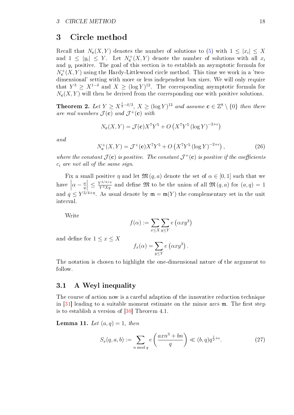### <span id="page-19-0"></span>3 Circle method

Recall that  $N_c(X,Y)$  denotes the number of solutions to [\(5\)](#page-7-1) with  $1 \leq |x_i| \leq X$ and  $1 \leq |y_i| \leq Y$ . Let  $N_c^+(X, Y)$  denote the number of solutions with all  $x_i$ and  $y_i$  positive. The goal of this section is to establish an asymptotic formula for  $N_c^+(X, Y)$  using the Hardy-Littlewood circle method. This time we work in a 'twodimensional' setting with more or less independent box sizes. We will only require that  $Y^3 \geq X^{1-\delta}$  and  $X \geq (\log Y)^{12}$ . The corresponding asymptotic formula for  $N_c(X, Y)$  will then be derived from the corresponding one with positive solutions.

<span id="page-19-3"></span>**Theorem 2.** Let  $Y \ge X^{\frac{1}{3}-\delta/3}$ ,  $X \ge (\log Y)^{12}$  and assume  $\mathbf{c} \in \mathbb{Z}^8 \setminus \{0\}$  then there are real numbers  $\mathcal{J}(\mathbf{c})$  and  $\mathcal{J}^+(\mathbf{c})$  with

$$
N_{\mathbf{c}}(X,Y) = \mathcal{J}(\mathbf{c})X^{7}Y^{5} + O\left(X^{7}Y^{5}\left(\log Y\right)^{-2+\epsilon}\right)
$$

and

<span id="page-19-4"></span>
$$
N_{\mathbf{c}}^{+}(X,Y) = \mathcal{J}^{+}(\mathbf{c})X^{7}Y^{5} + O\left(X^{7}Y^{5}\left(\log Y\right)^{-2+\epsilon}\right),\tag{26}
$$

where the constant  $\mathcal{J}(\mathbf{c})$  is positive. The constant  $\mathcal{J}^+(\mathbf{c})$  is positive if the coefficients  $c_i$  are not all of the same sign.

Fix a small positive  $\eta$  and let  $\mathfrak{M}(q, a)$  denote the set of  $\alpha \in [0, 1]$  such that we  $\frac{1}{1}$  $\alpha - \frac{a}{a}$ q  $\leq \frac{Y^{3/4+\eta}}{Y^3 X q}$  and define  $\mathfrak{M}$  to be the union of all  $\mathfrak{M}(q, a)$  for  $(a, q) = 1$ and  $q \leq Y^{3/4+\eta}$ . As usual denote by  $\mathfrak{m} = \mathfrak{m}(Y)$  the complementary set in the unit interval.

Write

$$
f(\alpha) := \sum_{x \le X} \sum_{y \le Y} e(\alpha x y^3)
$$

and define for  $1 \leq x \leq X$ 

$$
f_x(\alpha) = \sum_{y \le Y} e(\alpha x y^3).
$$

The notation is chosen to highlight the one-dimensional nature of the argument to follow.

### <span id="page-19-1"></span>3.1 A Weyl inequality

The course of action now is a careful adaption of the innovative reduction technique in  $[31]$  leading to a suitable moment estimate on the minor arcs  $\mathfrak{m}$ . The first step is to establish a version of [\[30\]](#page-55-0) Theorem 4.1.

**Lemma 11.** Let  $(a, q) = 1$ , then

<span id="page-19-2"></span>
$$
S_x(q, a, b) := \sum_{n \bmod q} e\left(\frac{axn^3 + bn}{q}\right) \ll (b, q)q^{\frac{1}{2} + \epsilon}.
$$
 (27)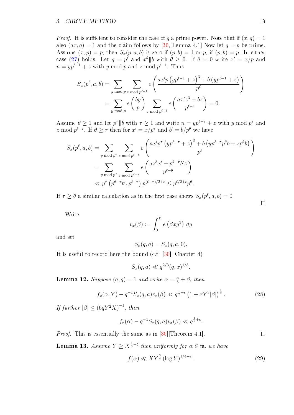*Proof.* It is sufficient to consider the case of q a prime power. Note that if  $(x, q) = 1$ also  $(ax, q) = 1$  and the claim follows by [\[30,](#page-55-0) Lemma 4.1] Now let  $q = p$  be prime. Assume  $(x, p) = p$ , then  $S_x(p, a, b)$  is zero if  $(p, b) = 1$  or p, if  $(p, b) = p$ . In either case [\(27\)](#page-19-2) holds. Let  $q = p^{\ell}$  and  $x^{\theta} || b$  with  $\theta \ge 0$ . If  $\theta = 0$  write  $x' = x/p$  and  $n = yp^{\ell-1} + z$  with y mod p and z mod  $p^{\ell-1}$ . Thus

$$
S_x(p^{\ell}, a, b) = \sum_{y \bmod p} \sum_{z \bmod p^{\ell-1}} e\left(\frac{ax'p (yp^{\ell-1} + z)^3 + b (yp^{\ell-1} + z)}{p^{\ell}}\right)
$$
  
= 
$$
\sum_{y \bmod p} e\left(\frac{by}{p}\right) \sum_{z \bmod p^{\ell-1}} e\left(\frac{ax'z^3 + bz}{p^{\ell-1}}\right) = 0.
$$

Assume  $\theta \geq 1$  and let  $p^{\tau}||b$  with  $\tau \geq 1$  and write  $n = yp^{\ell-\tau} + z$  with y mod  $p^{\tau}$  and z mod  $p^{\ell-\tau}$ . If  $\theta \geq \tau$  then for  $x' = x/p^{\tau}$  and  $b' = b/p^{\theta}$  we have

$$
S_x(p^{\ell}, a, b) = \sum_{y \bmod p^{\tau}} \sum_{z \bmod p^{\ell-\tau}} e\left(\frac{ax'p^{\tau}(yp^{\ell-\tau}+z)^3 + b\left(yp^{\ell-\tau}p^{\theta}b + zp^{\theta}b\right)}{p^{\ell}}\right)
$$
  
= 
$$
\sum_{y \bmod p^{\tau}} \sum_{z \bmod p^{\ell-\tau}} e\left(\frac{az^3x' + p^{\theta-\tau}b'z}{p^{\ell-\theta}}\right)
$$
  

$$
\ll p^{\tau}(p^{\theta-\tau}b', p^{\ell-\tau}) p^{(\ell-\tau)/2+\epsilon} \leq p^{\ell/2+\epsilon}p^{\theta}.
$$

If  $\tau \geq \theta$  a similar calculation as in the first case shows  $S_x(p^{\ell}, a, b) = 0$ .

Write

$$
v_x(\beta) := \int_0^Y e\left(\beta x y^3\right) dy
$$

and set

$$
S_x(q, a) = S_x(q, a, 0).
$$

It is useful to record here the bound (c.f. [\[30\]](#page-55-0), Chapter 4)

 $S_x(q, a) \ll q^{2/3} (q, x)^{1/3}.$ 

**Lemma 12.** Suppose  $(a, q) = 1$  and write  $\alpha = \frac{a}{b} + \beta$ , then

<span id="page-20-2"></span>
$$
f_x(\alpha, Y) - q^{-1} S_x(q, a) v_x(\beta) \ll q^{\frac{1}{2} + \epsilon} \left( 1 + x Y^3 |\beta| \right)^{\frac{1}{2}}.
$$
 (28)

If further  $|\beta| \leq (6qY^2X)^{-1}$ , then

$$
f_x(\alpha) - q^{-1} S_x(q, a) v_x(\beta) \ll q^{\frac{1}{2} + \epsilon}.
$$

*Proof.* This is essentially the same as in [\[30\]](#page-55-0)[Theorem 4.1].

<span id="page-20-1"></span>**Lemma 13.** Assume  $Y \ge X^{\frac{1}{3} - \delta}$  then uniformly for  $\alpha \in \mathfrak{m}$ , we have

<span id="page-20-0"></span>
$$
f(\alpha) \ll XY^{\frac{3}{4}} \left(\log Y\right)^{1/4+\epsilon}.\tag{29}
$$

 $\Box$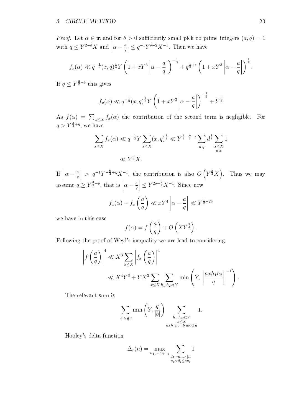*Proof.* Let  $\alpha \in \mathfrak{m}$  and for  $\delta > 0$  sufficiently small pick co prime integers  $(a, q) = 1$ with  $q \leq Y^{2-\delta}X$  and  $\Big|$  $\alpha - \frac{a}{a}$ q  $\left| \leq q^{-1} Y^{\delta - 2} X^{-1}$ . Then we have

$$
f_x(\alpha) \ll q^{-\frac{1}{3}}(x,q)^{\frac{1}{3}} Y \left(1 + xY^3 \left| \alpha - \frac{a}{q} \right| \right)^{-\frac{1}{3}} + q^{\frac{1}{2} + \epsilon} \left(1 + xY^3 \left| \alpha - \frac{a}{q} \right| \right)^{\frac{1}{2}}.
$$

If  $q \le Y^{\frac{3}{2}-\delta}$  this gives

$$
f_x(\alpha) \ll q^{-\frac{1}{3}}(x,q)^{\frac{1}{3}} Y \left(1 + xY^3 \left|\alpha - \frac{a}{q}\right|\right)^{-\frac{1}{3}} + Y^{\frac{3}{4}}
$$

As  $f(\alpha) = \sum_{x \leq X} f_x(\alpha)$  the contribution of the second term is negligible. For  $q > Y^{\frac{3}{4} + \eta}$ , we have

$$
\sum_{x \le X} f_x(\alpha) \ll q^{-\frac{1}{3}} Y \sum_{x \le X} (x, q)^{\frac{1}{3}} \ll Y^{\frac{3}{4} - \frac{\eta}{3} + \epsilon} \sum_{d|q} d^{\frac{1}{3}} \sum_{\substack{x \le X \\ d|x}} 1
$$
  

$$
\ll Y^{\frac{3}{4}} X.
$$

If  $\vert$  $\alpha - \frac{a}{a}$ q  $\Big| > q^{-1} Y^{-\frac{9}{4} + \eta} X^{-1}$ , the contribution is also  $O(Y^{\frac{3}{4}} X)$ . Thus we may assume  $q \ge Y^{\frac{3}{2} - \delta}$ , that is  $|$  $\alpha - \frac{a}{a}$ q  $\left| \leq Y^{2\delta - \frac{7}{2}} X^{-1}$ . Since now

$$
f_x(\alpha) - f_x\left(\frac{a}{q}\right) \ll xY^4 \left|\alpha - \frac{a}{q}\right| \ll Y^{\frac{1}{2}+2\delta}
$$

we have in this case

$$
f(\alpha) = f\left(\frac{a}{q}\right) + O\left(XY^{\frac{3}{4}}\right).
$$

Following the proof of Weyl's inequality we are lead to considering

$$
\left| f\left(\frac{a}{q}\right) \right|^4 \ll X^3 \sum_{x \le X} \left| f_x\left(\frac{a}{q}\right) \right|^4
$$
  

$$
\ll X^4 Y^3 + Y X^3 \sum_{x \le X} \sum_{h_1, h_2 \ll Y} \min \left( Y, \left\| \frac{axh_1 h_2}{q} \right\|^{-1} \right).
$$

The relevant sum is

$$
\sum_{|b| \le \frac{1}{2}q} \min\left(Y, \frac{q}{|b|}\right) \sum_{\substack{h_1, h_2 \ll Y \\ x \le X \\ axh_1h_2 = b \bmod q}} 1.
$$

Hooley's delta function

$$
\Delta_r(n) = \max_{u_1, \dots, u_{r-1}} \sum_{\substack{d_1 \cdots d_{r-1} | n \\ u_i < d_i \le eu_i}} 1
$$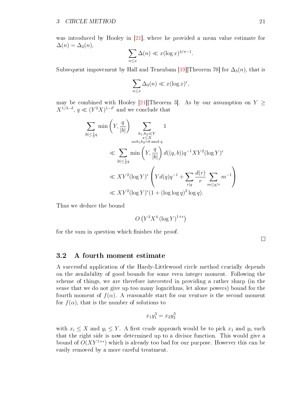was introduced by Hooley in [\[21\]](#page-55-11), where he provided a mean value estimate for  $\Delta(n) = \Delta_2(n),$ 

$$
\sum_{n\leq x}\Delta(n)\ll x(\log x)^{4/\pi-1}.
$$

Subsequent impovement by Hall and Tenenbam [\[19\]](#page-55-12)[Theorem 70] for  $\Delta_3(n)$ , that is

$$
\sum_{n\leq x}\Delta_3(n)\ll x(\log x)^{\epsilon},
$$

may be combined with Hooley [\[21\]](#page-55-11)[Theorem 3]. As by our assumption on  $Y \geq$  $X^{1/3-\delta}$ ,  $q \ll (Y^2 X)^{1-\delta'}$  and we conclude that

$$
\sum_{|b| \le \frac{1}{2}q} \min\left(Y, \frac{q}{|b|}\right) \sum_{\substack{h_1, h_2 \ll Y \\ x \le X \\ a x h_1 h_2 = b \bmod q}} 1
$$
\n
$$
\ll \sum_{|b| \le \frac{1}{2}q} \min\left(Y, \frac{q}{|b|}\right) d((q, b)) q^{-1} XY^2 (\log Y)^{\epsilon}
$$
\n
$$
\ll XY^2 (\log Y)^{\epsilon} \left(Y d(q) q^{-1} + \sum_{r|q} \frac{d(r)}{r} \sum_{m \le q/r} m^{-1}\right)
$$
\n
$$
\ll XY^2 (\log Y)^{\epsilon} (1 + (\log \log q)^2 \log q).
$$

Thus we deduce the bound

$$
O\left(Y^3 X^4 \left(\log Y\right)^{1+\epsilon}\right)
$$

for the sum in question which finishes the proof.

 $\Box$ 

### <span id="page-22-0"></span>3.2 A fourth moment estimate

A successful application of the Hardy-Littlewood circle method crucially depends on the availability of good bounds for some even integer moment. Following the scheme of things, we are therefore interested in providing a rather sharp (in the sense that we do not give up too many logarithms, let alone powers) bound for the fourth moment of  $f(\alpha)$ . A reasonable start for our venture is the second moment for  $f(\alpha)$ , that is the number of solutions to

$$
x_1 y_1^3 = x_2 y_2^3
$$

with  $x_i \leq X$  and  $y_i \leq Y$ . A first crude approach would be to pick  $x_1$  and  $y_1$  such that the right side is now determined up to a divisor function. This would give a bound of  $O(XY^{1+\epsilon})$  which is already too bad for our purpose. However this can be easily removed by a more careful treatment.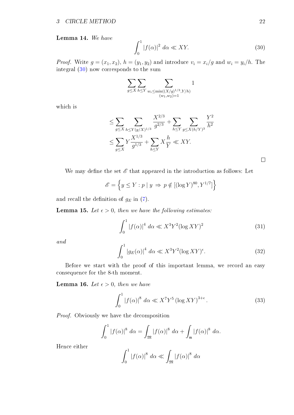Lemma 14. We have

<span id="page-23-0"></span>
$$
\int_0^1 |f(\alpha)|^2 \, d\alpha \ll XY. \tag{30}
$$

*Proof.* Write  $g = (x_1, x_2)$ ,  $h = (y_1, y_2)$  and introduce  $v_i = x_i/g$  and  $w_i = y_i/h$ . The integral [\(30\)](#page-23-0) now corresponds to the sum

$$
\sum_{g \le X} \sum_{h \le Y} \sum_{\substack{w_i \le \min((X/g)^{1/3}, Y/h) \\ (w_1, w_2) = 1}} 1
$$

which is

$$
\leq \sum_{g \leq X} \sum_{h \leq Y(g/X)^{1/3}} \frac{X^{2/3}}{g^{2/3}} + \sum_{h \leq Y} \sum_{g \leq X(h/Y)^3} \frac{Y^2}{h^2}
$$
  

$$
\leq \sum_{g \leq X} Y \frac{X^{1/3}}{g^{1/3}} + \sum_{h \leq Y} X \frac{h}{Y} \ll XY.
$$

We may define the set  $\mathscr E$  that appeared in the introduction as follows: Let

$$
\mathscr{E} = \left\{ y \le Y : p \mid y \implies p \notin [(\log Y)^{80}, Y^{1/7}] \right\}
$$

and recall the definition of  $g_E$  in [\(7\)](#page-8-1).

<span id="page-23-2"></span>**Lemma 15.** Let  $\epsilon > 0$ , then we have the following estimates:

<span id="page-23-1"></span>
$$
\int_0^1 |f(\alpha)|^4 \, d\alpha \ll X^3 Y^2 (\log XY)^2 \tag{31}
$$

and

<span id="page-23-3"></span>
$$
\int_0^1 |g_E(\alpha)|^4 \, d\alpha \ll X^3 Y^2 (\log XY)^\epsilon. \tag{32}
$$

Before we start with the proof of this important lemma, we record an easy consequence for the 8-th moment.

<span id="page-23-4"></span>**Lemma 16.** Let  $\epsilon > 0$ , then we have

<span id="page-23-5"></span>
$$
\int_0^1 |f(\alpha)|^8 \, d\alpha \ll X^7 Y^5 \left(\log XY\right)^{3+\epsilon}.\tag{33}
$$

Proof. Obviously we have the decomposition

$$
\int_0^1 |f(\alpha)|^8 \ d\alpha = \int_{\mathfrak{M}} |f(\alpha)|^8 \ d\alpha + \int_{\mathfrak{m}} |f(\alpha)|^8 \ d\alpha.
$$

Hence either

$$
\int_0^1 |f(\alpha)|^8 \ d\alpha \ll \int_{\mathfrak{M}} |f(\alpha)|^8 \ d\alpha
$$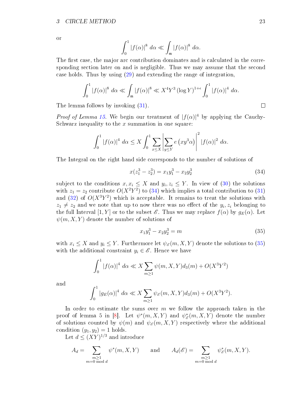or

$$
\int_0^1 |f(\alpha)|^8 \ d\alpha \ll \int_{\mathfrak{m}} |f(\alpha)|^8 \ d\alpha.
$$

The first case, the major arc contribution dominates and is calculated in the corresponding section later on and is negligible. Thus we may assume that the second case holds. Thus by using [\(29\)](#page-20-0) and extending the range of integration,

$$
\int_0^1 |f(\alpha)|^8 \, d\alpha \ll \int_{\mathfrak{m}} |f(\alpha)|^8 \ll X^4 Y^3 \left(\log Y\right)^{1+\epsilon} \int_0^1 |f(\alpha)|^4 \, d\alpha.
$$
\nas follows by invoking (31).

The lemma follows by invoking [\(31\)](#page-23-1).

*Proof of Lemma [15.](#page-23-2)* We begin our treatment of  $|f(\alpha)|^4$  by applying the Cauchy-Schwarz inequality to the  $x$  summation in one square:

$$
\int_0^1 |f(\alpha)|^4 \ d\alpha \le X \int_0^1 \sum_{x \le X} \left| \sum_{y \le Y} e(x y^3 \alpha) \right|^2 |f(\alpha)|^2 \ d\alpha.
$$

The Integral on the right hand side corresponds to the number of solutions of

<span id="page-24-0"></span>
$$
x(z_1^3 - z_2^3) = x_1 y_1^3 - x_2 y_2^3 \tag{34}
$$

subject to the conditions  $x, x_i \leq X$  and  $y_i, z_i \leq Y$ . In view of [\(30\)](#page-23-0) the solutions with  $z_1 = z_2$  contribute  $O(X^2Y^2)$  to [\(34\)](#page-24-0) which implies a total contribution to [\(31\)](#page-23-1) and  $(32)$  of  $O(X^3Y^2)$  which is acceptable. It remains to treat the solutions with  $z_1 \neq z_2$  and we note that up to now there was no effect of the  $y_i, z_i$  belonging to the full Interval  $[1, Y]$  or to the subset  $\mathscr{E}$ . Thus we may replace  $f(\alpha)$  by  $g_E(\alpha)$ . Let  $\psi(m, X, Y)$  denote the number of solutions of

<span id="page-24-1"></span>
$$
x_1 y_1^3 - x_2 y_2^3 = m \tag{35}
$$

with  $x_i \leq X$  and  $y_i \leq Y$ . Furthermore let  $\psi_{\mathscr{E}}(m, X, Y)$  denote the solutions to [\(35\)](#page-24-1) with the additional constraint  $y_i \in \mathscr{E}$ . Hence we have

$$
\int_0^1 |f(\alpha)|^4 \, d\alpha \ll X \sum_{m \ge 1} \psi(m, X, Y) d_3(m) + O(X^3 Y^2)
$$

and

$$
\int_0^1 |g_E(\alpha)|^4 \, d\alpha \ll X \sum_{m \ge 1} \psi_{\mathscr{E}}(m, X, Y) d_3(m) + O(X^3 Y^2).
$$

In order to estimate the sums over  $m$  we follow the approach taken in the proof of lemma 5 in [\[8\]](#page-54-15). Let  $\psi^*(m, X, Y)$  and  $\psi^*_{\delta}$  $\chi^*_{\mathscr{E}}(m,X,Y)$  denote the number of solutions counted by  $\psi(m)$  and  $\psi_{\mathscr{E}}(m, X, Y)$  respectively where the additional condition  $(y_1, y_2) = 1$  holds.

Let  $d \leq (XY)^{1/3}$  and introduce

$$
A_d = \sum_{\substack{m \ge 1 \\ m = 0 \bmod d}} \psi^*(m, X, Y) \quad \text{and} \quad A_d(\mathscr{E}) = \sum_{\substack{m \ge 1 \\ m = 0 \bmod d}} \psi^*_{\mathscr{E}}(m, X, Y).
$$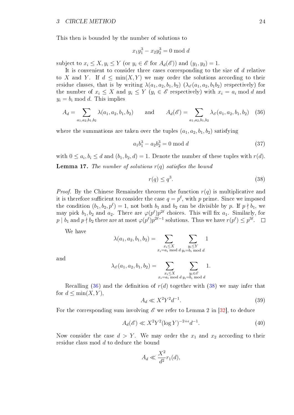This then is bounded by the number of solutions to

$$
x_1 y_1^3 - x_2 y_2^3 = 0 \bmod{d}
$$

subject to  $x_i \leq X, y_i \leq Y$  (or  $y_i \in \mathscr{E}$  for  $A_d(\mathscr{E})$ ) and  $(y_1, y_2) = 1$ .

It is convenient to consider three cases corresponding to the size of d relative to X and Y. If  $d \leq \min(X, Y)$  we may order the solutions according to their residue classes, that is by writing  $\lambda(a_1, a_2, b_1, b_2)$   $(\lambda_{\mathscr{E}}(a_1, a_2, b_1b_2))$  respectively) for the number of  $x_i \leq X$  and  $y_i \leq Y$   $(y_i \in \mathscr{E}$  respectively) with  $x_i = a_i \mod d$  and  $y_i = b_i \mod d$ . This implies

<span id="page-25-0"></span>
$$
A_d = \sum_{a_1, a_2, b_1, b_2} \lambda(a_1, a_2, b_1, b_2) \quad \text{and} \quad A_d(\mathscr{E}) = \sum_{a_1, a_2, b_1, b_2} \lambda_{\mathscr{E}}(a_1, a_2, b_1, b_2) \quad (36)
$$

where the summations are taken over the tuples  $(a_1, a_2, b_1, b_2)$  satisfying

<span id="page-25-2"></span>
$$
a_1 b_1^3 - a_2 b_2^3 = 0 \mod d \tag{37}
$$

with  $0 \le a_i, b_i \le d$  and  $(b_1, b_2, d) = 1$ . Denote the number of these tuples with  $r(d)$ . **Lemma 17.** The number of solutions  $r(q)$  satisfies the bound

<span id="page-25-1"></span>
$$
r(q) \le q^3. \tag{38}
$$

*Proof.* By the Chinese Remainder theorem the function  $r(q)$  is multiplicative and it is therefore sufficient to consider the case  $q = p^{\ell}$ , with  $p$  prime. Since we imposed the condition  $(b_1, b_2, p^{\ell}) = 1$ , not both  $b_1$  and  $b_2$  can be divisible by p. If  $p \nmid b_1$ , we may pick  $b_1, b_2$  and  $a_2$ . There are  $\varphi(p^{\ell})p^{2\ell}$  choices. This will fix  $a_1$ . Similarly, for  $p\mid b_1 \text{ and } p\nmid b_2 \text{ there are at most } \varphi(p^\ell)p^{2\ell-1} \text{ solutions. Thus we have } r(p^\ell)\leq p^{3\ell}.$ 

We have

$$
\lambda(a_1, a_2, b_1, b_2) = \sum_{\substack{x_i \le X \\ x_i = a_i \bmod d}} \sum_{\substack{y_i \le Y \\ y_i = b_i \bmod d}} 1
$$

and

$$
\lambda_{\mathscr{E}}(a_1, a_2, b_1, b_2) = \sum_{\substack{x_i \le X \\ x_i = a_i \bmod d}} \sum_{\substack{y_i \in \mathscr{E} \\ y_i = b_i \bmod d}} 1.
$$

Recalling [\(36\)](#page-25-0) and the definition of  $r(d)$  together with [\(38\)](#page-25-1) we may infer that for  $d \leq \min(X, Y)$ ,

<span id="page-25-3"></span>
$$
A_d \ll X^2 Y^2 d^{-1}.\tag{39}
$$

For the corresponding sum involving  $\mathscr E$  we refer to Lemma 2 in [\[32\]](#page-55-8), to deduce

<span id="page-25-4"></span>
$$
A_d(\mathscr{E}) \ll X^2 Y^2 (\log Y)^{-2+\epsilon} d^{-1}.\tag{40}
$$

Now consider the case  $d > Y$ . We may order the  $x_1$  and  $x_2$  according to their residue class mod d to deduce the bound

$$
A_d \ll \frac{X^2}{d^2} r_1(d),
$$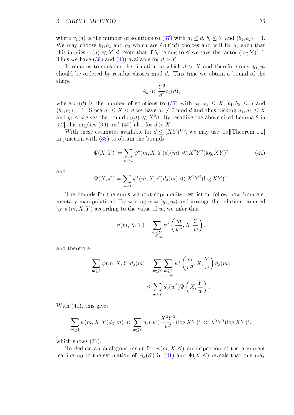where  $r_1(d)$  is the number of solutions to [\(37\)](#page-25-2) with  $a_i \leq d$ ,  $b_i \leq Y$  and  $(b_1, b_2) = 1$ . We may choose  $b_1, b_2$  and  $a_2$  which are  $O(Y^2d)$  choices and will fix  $a_2$  such that this implies  $r_1(d) \ll Y^2d$ . Note that if  $b_i$  belong to  $\mathscr E$  we save the factor  $(\log Y)^{2-\epsilon}$ . Thus we have [\(39\)](#page-25-3) and [\(40\)](#page-25-4) available for  $d > Y$ .

It remains to consider the situation in which  $d > X$  and therefore only  $y_1, y_2$ should be ordered by residue classes mod  $d$ . This time we obtain a bound of the shape

$$
A_d \ll \frac{Y^2}{d^2} r_2(d),
$$

where  $r_2(d)$  is the number of solutions to [\(37\)](#page-25-2) with  $a_1, a_2 \leq X$ ,  $b_1, b_2 \leq d$  and  $(b_1, b_2) = 1$ . Since  $a_i \leq X < d$  we have  $a_i \neq 0 \text{ mod } d$  and thus picking  $a_1, a_2 \leq X$ and  $y_2 \le d$  gives the bound  $r_2(d) \ll X^2d$ . By recalling the above cited Lemma 2 in [\[32\]](#page-55-8) this implies [\(39\)](#page-25-3) and [\(40\)](#page-25-4) also for  $d > X$ .

With these estimates available for  $d \leq (XY)^{1/3}$ , we may use [\[25\]](#page-55-9) Theorem 1.2] in junction with [\(38\)](#page-25-1) to obtain the bounds

<span id="page-26-0"></span>
$$
\Psi(X,Y) := \sum_{m \ge 1} \psi^*(m, X, Y) d_3(m) \ll X^2 Y^2 (\log XY)^2 \tag{41}
$$

and

$$
\Psi(X,\mathscr{E}) = \sum_{m\geq 1} \psi^*(m, X, \mathscr{E}) d_3(m) \ll X^2 Y^2 (\log XY)^{\epsilon}.
$$

The bounds for the sums without coprimality restriction follow now from elementary manipulations. By writing  $w = (y_1, y_2)$  and arrange the solutions counted by  $\psi(m, X, Y)$  according to the value of w, we infer that

$$
\psi(m, X, Y) = \sum_{\substack{w \le Y \\ w^3 | m}} \psi^* \left( \frac{m}{w^3}, X, \frac{Y}{w} \right),
$$

and therefore

$$
\sum_{m\geq 1} \psi(m, X, Y) d_3(m) = \sum_{w\leq Y} \sum_{\substack{m\geq 1 \\ w^3|m}} \psi^* \left(\frac{m}{w^3}, X, \frac{Y}{w}\right) d_3(m)
$$
  

$$
\leq \sum_{w\leq Y} d_3(w^3) \Psi\left(X, \frac{Y}{w}\right).
$$

With [\(41\)](#page-26-0), this gives

$$
\sum_{m\geq 1} \psi(m, X, Y) d_3(m) \ll \sum_{w\leq Y} d_3(w^3) \frac{X^2 Y^2}{w^2} (\log XY)^2 \ll X^2 Y^2 (\log XY)^2,
$$

which shows  $(31)$ .

To deduce an analogous result for  $\psi(m, X, \mathscr{E})$  an inspection of the argument leading up to the estimation of  $A_d(\mathscr{E})$  in [\(41\)](#page-26-0) and  $\Psi(X,\mathscr{E})$  reveals that one may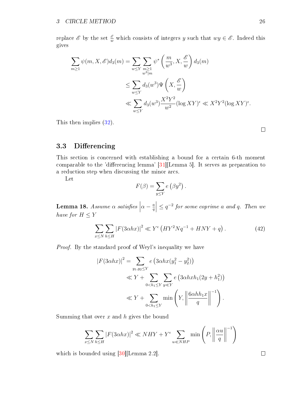replace  $\mathscr E$  by the set  $\frac{\mathscr E}{w}$  which consists of integers y such that  $wy \in \mathscr E$ . Indeed this gives

$$
\sum_{m\geq 1} \psi(m, X, \mathcal{E}) d_3(m) = \sum_{w\leq Y} \sum_{\substack{m\geq 1 \\ w^3|m}} \psi^* \left(\frac{m}{w^3}, X, \frac{\mathcal{E}}{w}\right) d_3(m)
$$
  

$$
\leq \sum_{w\leq Y} d_3(w^3) \Psi\left(X, \frac{\mathcal{E}}{w}\right)
$$
  

$$
\ll \sum_{w\leq Y} d_3(w^3) \frac{X^2 Y^2}{w^2} (\log XY)^{\epsilon} \ll X^2 Y^2 (\log XY)^{\epsilon}.
$$

This then implies [\(32\)](#page-23-3).

 $\Box$ 

### <span id="page-27-0"></span>3.3 Differencing

This section is concerned with establishing a bound for a certain 6-th moment comparable to the 'differencing lemma'  $[31]$ [Lemma 5]. It serves as preparation to a reduction step when discussing the minor arcs.

Let

$$
F(\beta) = \sum_{y \le Y} e(\beta y^2).
$$

<span id="page-27-1"></span>**Lemma 18.** Assume  $\alpha$  satisfies  $\alpha - \frac{a}{a}$ q  $\vert \leq q^{-2}$  for some coprime a and q. Then we have for  $H\leq Y$ 

<span id="page-27-2"></span>
$$
\sum_{x \le N} \sum_{h \le H} |F(3\alpha hx)|^2 \ll Y^{\epsilon} \left( HY^2 Nq^{-1} + HNY + q\right). \tag{42}
$$

Proof. By the standard proof of Weyl's inequality we have

$$
|F(3\alpha hx)|^2 = \sum_{y_1, y_2 \le Y} e(3\alpha hx(y_1^2 - y_2^2))
$$
  
\n
$$
\ll Y + \sum_{0 < h_1 \le Y} \sum_{y \ll Y} e(3\alpha h x h_1(2y + h_1^2))
$$
  
\n
$$
\ll Y + \sum_{0 < h_1 \le Y} \min\left(Y, \left\|\frac{6\alpha h h_1 x}{q}\right\|^{-1}\right).
$$

Summing that over  $x$  and  $h$  gives the bound

$$
\sum_{x \le N} \sum_{h \le H} |F(3\alpha hx)|^2 \ll NHY + Y^{\epsilon} \sum_{u \ll NHP} \min\left(P, \left\|\frac{\alpha u}{q}\right\|^{-1}\right)
$$

which is bounded using [\[30\]](#page-55-0)[Lemma 2.2].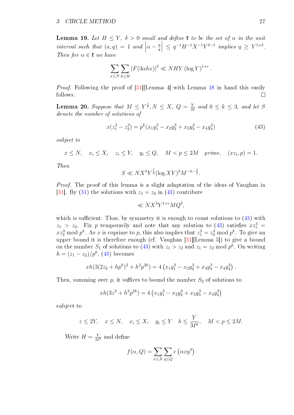<span id="page-28-1"></span>**Lemma 19.** Let  $H \leq Y$ ,  $\delta > 0$  small and define  $\mathfrak{k}$  to be the set of  $\alpha$  in the unit interval such that  $(a, q) = 1$  and  $\Big|$  $\alpha - \frac{a}{a}$ q  $\Big| \leq q^{-1} H^{-1} X^{-1} Y^{\delta-1}$  implies  $q \geq Y^{1+\delta}$ . Then for  $\alpha \in \mathfrak{k}$  we have

$$
\sum_{x \le N} \sum_{h \le H} |F(3\alpha hx)|^2 \ll NHY (\log Y)^{1+\epsilon}.
$$

*Proof.* Following the proof of [\[31\]](#page-55-2)[Lemma 4] with Lemma [18](#page-27-1) in hand this easily follows.  $\Box$ 

<span id="page-28-2"></span>**Lemma 20.** Suppose that  $M \leq Y^{\frac{1}{7}}, N \leq X, Q = \frac{Y^{\frac{1}{7}}}{N}$  $\frac{Y}{M}$  and  $0 \leq k \leq 3$ , and let S denote the number of solutions of

<span id="page-28-0"></span>
$$
x(z_1^3 - z_2^3) = p^k (x_1 y_1^3 - x_2 y_2^3 + x_3 y_3^3 - x_4 y_4^3)
$$
\n(43)

subject to

 $x \leq N$ ,  $x_i \leq X$ ,  $z_i \leq Y$ ,  $y_i \leq Q$ ,  $M < p \leq 2M$  prime,  $(xz_i, p) = 1$ .

Then

$$
S \ll N X^{3} Y^{\frac{7}{2}} (\log XY)^{3} M^{-k - \frac{3}{2}}.
$$

Proof. The proof of this lemma is a slight adaptation of the ideas of Vaughan in [\[31\]](#page-55-2). By [\(31\)](#page-23-1) the solutions with  $z_1 = z_2$  in [\(43\)](#page-28-0) contribute

$$
\ll N X^3 Y^{1+\epsilon} M Q^2,
$$

which is sufficient. Thus, by symmetry it is enough to count solutions to  $(43)$  with  $z_1 > z_2$ . Fix p temporarily and note that any solution to [\(43\)](#page-28-0) satisfies  $xz_1^3 =$  $xz_2^3 \bmod p^k$ . As x is coprime to p, this also implies that  $z_1^3 = z_2^3 \bmod p^k$ . To give an upper bound it is therefore enough (cf. Vaughan [\[31\]](#page-55-2)[Lemma 5]) to give a bound on the number  $S_1$  of solutions to [\(43\)](#page-28-0) with  $z_1 > z_2$  and  $z_1 = z_2 \mod p^k$ . On writing  $h = (z_1 - z_2)/p^k$ , [\(43\)](#page-28-0) becomes

$$
xh(3(2z_2 + hp^k)^2 + h^2p^{2k}) = 4\left(x_1y_1^3 - x_2y_2^3 + x_3y_3^3 - x_4y_4^3\right).
$$

Then, summing over p, it suffices to bound the number  $S_2$  of solutions to

$$
xh(3z^{2} + h^{2}p^{2k}) = 4\left(x_{1}y_{1}^{3} - x_{2}y_{2}^{3} + x_{3}y_{3}^{3} - x_{4}y_{4}^{3}\right)
$$

subject to

$$
z \le 2Y
$$
,  $x \le N$ ,  $x_i \le X$ ,  $y_i \le Y$   $h \le \frac{Y}{M^k}$ ,  $M < p \le 2M$ .

Write  $H = \frac{Y}{M^k}$  and define

$$
f(\alpha, Q) = \sum_{x \le X} \sum_{y \le Q} e(\alpha x y^3)
$$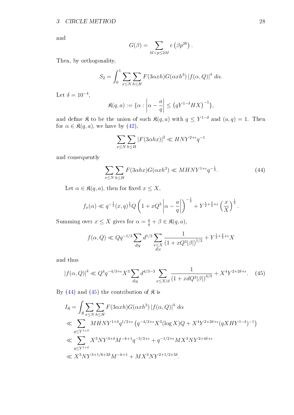and

$$
G(\beta) = \sum_{M < p \le 2M} e\left(\beta p^{2k}\right).
$$

Then, by orthogonality,

$$
S_2 = \int_0^1 \sum_{x \le N} \sum_{h \le H} F(3\alpha x h) G(\alpha x h^3) |f(\alpha, Q)|^4 d\alpha.
$$

Let  $\delta = 10^{-4}$ ,

$$
\mathfrak{K}(q,a) := \{ \alpha : \left| \alpha - \frac{a}{q} \right| \le \left( qY^{1-\delta}HX \right)^{-1} \},
$$

and define  $\mathfrak K$  to be the union of such  $\mathfrak K(q,a)$  with  $q \leq Y^{1-\delta}$  and  $(a,q)=1$ . Then for  $\alpha \in \mathfrak{K}(q, a)$ , we have by  $(42)$ ,

$$
\sum_{x \le N} \sum_{h \le H} |F(3\alpha hx)|^2 \ll HNY^{2+\epsilon}q^{-1}
$$

and consequently

<span id="page-29-0"></span>
$$
\sum_{x \le N} \sum_{h \le H} F(3\alpha hx) G(\alpha x h^3) \ll MHNY^{1+\epsilon} q^{-\frac{1}{2}}.
$$
\n(44)

Let  $\alpha \in \mathfrak{K}(q, a)$ , then for fixed  $x \leq X$ ,

$$
f_x(\alpha) \ll q^{-\frac{1}{3}}(x,q)^{\frac{1}{3}}Q\left(1+xQ^3\left|\alpha-\frac{a}{q}\right|\right)^{-\frac{1}{3}} + Y^{\frac{1}{2}+\frac{\delta}{2}+\epsilon}\left(\frac{x}{X}\right)^{\frac{1}{2}}.
$$

Summing over  $x \leq X$  gives for  $\alpha = \frac{a}{q} + \beta \in \mathfrak{K}(q, a)$ ,

$$
f(\alpha, Q) \ll Qq^{-1/3} \sum_{d|q} d^{1/3} \sum_{\substack{x \leq X \\ d|x}} \frac{1}{(1 + xQ^3|\beta|)^{1/3}} + Y^{\frac{1}{2} + \frac{\delta}{2} + \epsilon} X
$$

and thus

<span id="page-29-1"></span>
$$
|f(\alpha, Q)|^4 \ll Q^4 q^{-4/3 + \epsilon} X^3 \sum_{d|q} d^{4/3 - 3} \sum_{x \le X/d} \frac{1}{(1 + xdQ^3|\beta|)^{4/3}} + X^4 Y^{2 + 2\delta + \epsilon}.
$$
 (45)

By [\(44\)](#page-29-0) and [\(45\)](#page-29-1) the contribution of  $\mathfrak{K}$  is

$$
I_{\mathfrak{K}} = \int_{\mathfrak{K}} \sum_{x \le N} \sum_{h \le H} F(3\alpha x h) G(\alpha x h^{3}) |f(\alpha, Q)|^{4} d\alpha
$$
  
\$\ll \sum\_{q \le Y^{1+\delta}} M H N Y^{1+\delta} q^{1/2+\epsilon} (q^{-4/3+\epsilon} X^{3} (\log X) Q + X^{4} Y^{2+2\delta+\epsilon} (q X H Y^{1-\delta})^{-1})\$  
\$\ll \sum\_{q \le Y^{1+\delta}} X^{3} N Y^{3+\delta} M^{-k+1} q^{-5/3+\epsilon} + q^{-1/2+\epsilon} M X^{3} N Y^{2+4\delta+\epsilon}\$  
\$\ll X^{3} N Y^{3+1/6+2\delta} M^{-k+1} + M X^{3} N Y^{2+1/2+5\delta}\$.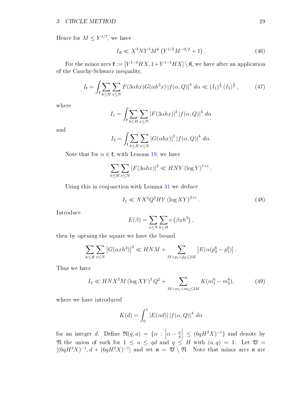Hence for  $M \leq Y^{1/7}$ , we have

<span id="page-30-3"></span>
$$
I_{\mathfrak{K}} \ll X^3 N Y^3 M^k \left( Y^{1/2} M^{-9/2} + 1 \right). \tag{46}
$$

For the minor arcs  $\mathfrak{k} := [Y^{1-\delta}HX, 1+Y^{1-\delta}HX] \setminus \mathfrak{K}$ , we have after an application of the Cauchy-Schwarz inequality,

<span id="page-30-2"></span>
$$
I_{\mathfrak{k}} = \int_{\mathfrak{k}} \sum_{h \le H} \sum_{x \le N} F(3\alpha hx) G(\alpha h^3 x) |f(\alpha, Q)|^4 \, d\alpha \ll (I_1)^{\frac{1}{2}} (I_2)^{\frac{1}{2}}, \tag{47}
$$

where

$$
I_1 = \int_{\mathfrak{k}} \sum_{h \leq H} \sum_{x \leq N} |F(3\alpha hx)|^2 |f(\alpha, Q)|^4 d\alpha
$$

and

$$
I_2 = \int_{\mathfrak{k}} \sum_{h \le H} \sum_{x \le N} |G(\alpha hx)|^2 |f(\alpha, Q)|^4 d\alpha.
$$

Note that for  $\alpha \in \mathfrak{k}$ , with Lemma [19,](#page-28-1) we have

$$
\sum_{h\leq H}\sum_{x\leq N}|F(3\alpha hx)|^2\ll HNY(\log Y)^{1+\epsilon}.
$$

Using this in conjunction with Lemma [31](#page-23-1) we deduce

<span id="page-30-1"></span>
$$
I_1 \ll N X^3 Q^2 H Y \left(\log XY\right)^{3+\epsilon}.\tag{48}
$$

Introduce

$$
E(\beta) = \sum_{x \le N} \sum_{h \le H} e(\beta x h^3),
$$

then by opening the square we have the bound

$$
\sum_{h \leq H} \sum_{x \leq N} |G(\alpha x h^{3})|^{2} \ll HNM + \sum_{M < p_{1} < p_{2} \leq 2M} |E(\alpha (p_{2}^{6} - p_{1}^{6}))|.
$$

Thus we have

<span id="page-30-0"></span>
$$
I_2 \ll HNX^3M \left(\log XY\right)^2 Q^2 + \sum_{M < m_1 < m_2 \le 2M} K(m_1^6 - m_2^6),\tag{49}
$$

where we have introduced

$$
K(d) = \int_0^1 |E(\alpha d)| |f(\alpha, Q)|^4 d\alpha
$$

for an integer d. Define  $\mathfrak{N}(q, a) = \{ \alpha : \alpha \in \mathbb{R}^n : \alpha \in \mathbb{R}^n \}$  $\alpha - \frac{a}{a}$ q  $\left| \begin{array}{c} \leq (6qH^2X)^{-1} \end{array} \right|$  and denote by  $\mathfrak N$  the union of such for  $1 \le a \le qd$  and  $q \le H$  with  $(a,q) = 1$ . Let  $\mathfrak V =$  $[(6qH^2X)^{-1}, d + (6qH^2X)^{-1}]$  and set  $\mathfrak{n} = \mathfrak{V} \setminus \mathfrak{N}$ . Note that minor arcs  $\mathfrak{n}$  are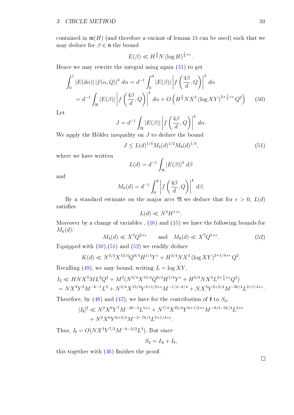contained in  $\mathfrak{m}(H)$  (and therefore a variant of lemma [13](#page-20-1) can be used) such that we may deduce for  $\beta \in \mathfrak{n}$  the bound

<span id="page-31-0"></span>
$$
E(\beta) \ll H^{\frac{3}{4}} N (\log H)^{\frac{1}{4}+\epsilon}.
$$

Hence we may rewrite the integral using again [\(31\)](#page-23-1) to get

$$
\int_0^1 |E(d\alpha)| |f(\alpha, Q)|^4 d\alpha = d^{-1} \int_0^d |E(\beta)| |f\left(\frac{4\beta}{d}, Q\right)|^4 d\alpha
$$
  
=  $d^{-1} \int_{\mathfrak{N}} |E(\beta)| |f\left(\frac{4\beta}{d}, Q\right)|^4 d\alpha + O\left(H^{\frac{3}{4}}NX^3 (\log XY)^{2 + \frac{1}{4} + \epsilon} Q^2\right)$  (50)

Let

$$
J = d^{-1} \int_{\mathfrak{R}} |E(\beta)| \left| f\left(\frac{4\beta}{d}, Q\right) \right|^4 d\alpha.
$$

We apply the Hölder inequality on  $J$  to deduce the bound

<span id="page-31-1"></span>
$$
J \le L(d)^{1/4} M_4(d)^{1/2} M_8(d)^{1/4},\tag{51}
$$

where we have written

$$
L(d) = d^{-1} \int_{\mathfrak{N}} |E(\beta)|^4 \ d\beta
$$

and

$$
M_k(d) = d^{-1} \int_0^d \left| f\left(\frac{4\beta}{d}, Q\right) \right|^k d\beta.
$$

By a standard estimate on the major arcs  $\mathfrak{N}$  we deduce that for  $\epsilon > 0$ ,  $L(d)$ satisfies

$$
L(d) \ll N^3 H^{1+\epsilon}.
$$

Moreover by a change of variables,  $(16)$  and  $(15)$  we have the following bounds for  $M_k(d)$ :

<span id="page-31-2"></span>
$$
M_4(d) \ll X^3 Q^{2+\epsilon} \qquad \text{and} \quad M_8(d) \ll X^7 Q^{5+\epsilon}.\tag{52}
$$

Equipped with  $(50),(51)$  $(50),(51)$  $(50),(51)$  and  $(52)$  we readily deduce

$$
K(d) \ll N^{3/4} X^{13/4} Q^{9/4} H^{1/4} Y^{\epsilon} + H^{3/4} N X^3 \left(\log XY\right)^{2+1/4+\epsilon} Q^2.
$$

Recalling [\(49\)](#page-30-0), we may bound, writing  $L = \log XY$ ,

$$
I_2 \ll HNX^3ML^2Q^2 + M^2(N^{3/4}X^{13/4}Q^{9/4}H^{1/4}Y^{\epsilon} + H^{3/4}NX^3L^{2+\frac{1}{4}+\epsilon}Q^2) = NX^3Y^3M^{-k-1}L^2 + N^{3/4}X^{13/4}Y^{2+1/2+\epsilon}M^{-1/4-k/4} + NX^3Y^{2+3/4}M^{-3k/4}L^{2+1/4+\epsilon}.
$$

Therefore, by [\(48\)](#page-30-1) and [\(47\)](#page-30-2), we have for the contribution of  $\mathfrak k$  to  $S_2$ ,

$$
|I_{\mathfrak{k}}|^2 \ll N^2 X^6 Y^7 M^{-2k-3} L^{5+\epsilon} + N^{7/4} X^{25/4} Y^{6+1/2+\epsilon} M^{-9/4-5k/4} L^{3+\epsilon} + N^2 X^6 Y^{6+3/4} M^{-2-7k/4} L^{5+1/4+\epsilon}.
$$

Thus,  $I_{\mathfrak{k}} = O(NX^3Y^{7/2}M^{-k-3/2}L^3)$ . But since

$$
S_2=I_{\mathfrak{K}}+I_{\mathfrak{k}},
$$

this together with  $(46)$  finishes the proof.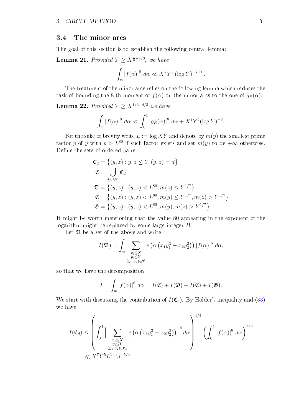### <span id="page-32-0"></span>3.4 The minor arcs

The goal of this section is to establish the following central lemma:

<span id="page-32-2"></span>**Lemma 21.** Provided  $Y \ge X^{\frac{1}{3}-\delta/3}$ , we have

$$
\int_{\mathfrak{m}} |f(\alpha)|^8 \, d\alpha \ll X^7 Y^5 \left(\log Y\right)^{-2+\epsilon}.
$$

The treatment of the minor arcs relies on the following lemma which reduces the task of bounding the 8-th moment of  $f(\alpha)$  on the minor arcs to the one of  $g_E(\alpha)$ .

<span id="page-32-1"></span>**Lemma 22.** Provided  $Y \ge X^{1/3-\delta/3}$  we have,

$$
\int_{\mathfrak{m}} |f(\alpha)|^8 \ d\alpha \ll \int_0^1 |g_E(\alpha)|^8 \ d\alpha + X^7 Y^5 (\log Y)^{-3}.
$$

For the sake of brevity write  $L := \log XY$  and denote by  $m(y)$  the smallest prime factor p of y with  $p > L^{80}$  if such factor exists and set  $m(y)$  to be  $+\infty$  otherwise. Define the sets of ordered pairs

$$
\mathfrak{C}_d = \left\{ (y, z) : y, z \le Y, (y, z) = d \right\}
$$
  
\n
$$
\mathfrak{C} = \bigcup_{d > L^{80}} \mathfrak{C}_d
$$
  
\n
$$
\mathfrak{D} = \left\{ (y, z) : (y, z) < L^{80}, m(z) \le Y^{1/7} \right\}
$$
  
\n
$$
\mathfrak{C} = \left\{ (y, z) : (y, z) < L^{80}, m(y) \le Y^{1/7}, m(z) > Y^{1/7} \right\}
$$
  
\n
$$
\mathfrak{G} = \left\{ (y, z) : (y, z) < L^{80}, m(y), m(z) > Y^{1/7} \right\}.
$$

It might be worth mentioning that the value 80 appearing in the exponent of the logarithm might be replaced by some large integer B.

Let  $\mathfrak B$  be a set of the above and write

$$
I(\mathfrak{B}) = \int_{\mathfrak{m}} \sum_{\substack{x_i \leq X \\ y_i \leq Y \\ (y_1, y_2) \in \mathfrak{B}}} e\left(\alpha \left(x_1 y_1^3 - x_2 y_2^3\right)\right) |f(\alpha)|^6 d\alpha,
$$

so that we have the decomposition

$$
I = \int_{\mathfrak{m}} |f(\alpha)|^8 \ d\alpha = I(\mathfrak{C}) + I(\mathfrak{D}) + I(\mathfrak{E}) + I(\mathfrak{G}).
$$

We start with discussing the contribution of  $I(\mathfrak{C}_d)$ . By Hölder's inequality and [\(33\)](#page-23-5) we have

$$
I(\mathfrak{C}_d) \leq \left( \int_0^1 \Big| \sum_{\substack{x_i \leq X \\ y_i \leq Y \\ (y_1, y_2) \in \mathfrak{C}_d \\ \text{with } y_i \neq 0}} e\left( \alpha \left( x_1 y_1^3 - x_2 y_2^3 \right) \right) \Big|^4 d\alpha \right)^{1/4} \left( \int_0^1 \left| f(\alpha) \right|^8 d\alpha \right)^{3/4}
$$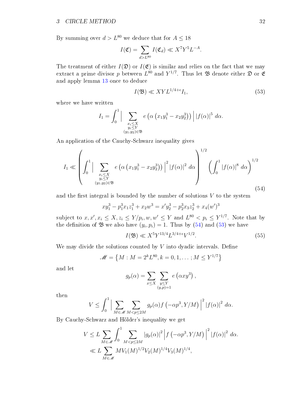By summing over  $d > L^{80}$  we deduce that for  $A \leq 18$ 

$$
I(\mathfrak{C}) = \sum_{d > L^{80}} I(\mathfrak{C}_d) \ll X^7 Y^5 L^{-A}.
$$

The treatment of either  $I(\mathfrak{D})$  or  $I(\mathfrak{E})$  is similar and relies on the fact that we may extract a prime divisor p between  $L^{80}$  and  $Y^{1/7}$ . Thus let  $\mathfrak B$  denote either  $\mathfrak D$  or  $\mathfrak E$ and apply lemma [13](#page-20-1) once to deduce

<span id="page-33-1"></span>
$$
I(\mathfrak{B}) \ll XYL^{1/4+\epsilon}I_1,\tag{53}
$$

where we have written

$$
I_1 = \int_0^1 \Big| \sum_{\substack{x_i \leq X \\ y_i \leq Y \\ (y_1, y_2) \in \mathfrak{B}}} e\left(\alpha \left(x_1 y_1^3 - x_2 y_2^3\right)\right) \Big| \, |f(\alpha)|^5 \, d\alpha.
$$

An application of the Cauchy-Schwarz inequality gives

<span id="page-33-0"></span>
$$
I_{1} \ll \left(\int_{0}^{1} \Big| \sum_{\substack{x_{i} \leq X \\ y_{i} \leq Y \\ (y_{1}, y_{2}) \in \mathfrak{B}}} e\left(\alpha\left(x_{1}y_{1}^{3} - x_{2}y_{2}^{3}\right)\right) \Big|^{2} |f(\alpha)|^{2} d\alpha\right)^{1/2} \left(\int_{0}^{1} |f(\alpha)|^{8} d\alpha\right)^{1/2} \tag{54}
$$

and the first integral is bounded by the number of solutions  $V$  to the system

$$
xy_1^3 - p_1^3x_1z_1^3 + x_2w^3 = x'y_2^3 - p_2^3x_3z_2^3 + x_4(w')^3
$$

subject to  $x, x', x_i \leq X, z_i \leq Y/p_i, w, w' \leq Y$  and  $L^{80} < p_i \leq Y^{1/7}$ . Note that by the definition of  $\mathfrak B$  we also have  $(y_i, p_i) = 1$ . Thus by  $(54)$  and  $(53)$  we have

<span id="page-33-2"></span>
$$
I(\mathfrak{B}) \ll X^5 Y^{13/4} L^{3/4 + \epsilon} V^{1/2}.
$$
\n(55)

,

We may divide the solutions counted by  $V$  into dyadic intervals. Define

$$
\mathscr{M} = \left\{ M : M = 2^k L^{80}, k = 0, 1, \dots; M \le Y^{1/7} \right\}
$$

and let

$$
g_p(\alpha) = \sum_{x \le X} \sum_{\substack{y \le Y \\ (y,p)=1}} e(\alpha x y^3)
$$

then

$$
V \leq \int_0^1 \left| \sum_{M \in \mathcal{M}} \sum_{M < p \leq 2M} g_p(\alpha) f\left(-\alpha p^3, Y/M\right) \right|^2 \left|f(\alpha)\right|^2 \, d\alpha.
$$

By Cauchy-Schwarz and Hölder's inequality we get

$$
V \leq L \sum_{M \in \mathcal{M}} \int_0^1 \sum_{M < p \leq 2M} |g_p(\alpha)|^2 \left| f(-\alpha p^3, Y/M) \right|^2 |f(\alpha)|^2 \, d\alpha.
$$
\n
$$
\ll L \sum_{M \in \mathcal{M}} M V_1(M)^{1/2} V_2(M)^{1/4} V_3(M)^{1/4},
$$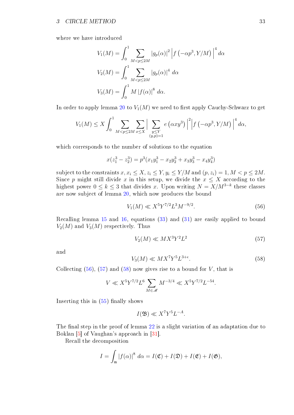where we have introduced

$$
V_1(M) = \int_0^1 \sum_{M < p \le 2M} |g_p(\alpha)|^2 \left| f\left(-\alpha p^3, Y/M\right) \right|^4 d\alpha
$$
\n
$$
V_2(M) = \int_0^1 \sum_{M < p \le 2M} |g_p(\alpha)|^4 d\alpha
$$
\n
$$
V_3(M) = \int_0^1 M \left|f(\alpha)\right|^8 d\alpha.
$$

In order to apply lemma [20](#page-28-2) to  $V_1(M)$  we need to first apply Cauchy-Schwarz to get

$$
V_1(M) \le X \int_0^1 \sum_{M < p \le 2M} \sum_{x \le X} \Big| \sum_{\substack{y \le Y \\ (y, p) = 1}} e \left( \alpha x y^3 \right) \Big|^2 \Big| f \left( -\alpha p^3, Y/M \right) \Big|^4 d\alpha,
$$

which corresponds to the number of solutions to the equation

$$
x(z_1^3 - z_2^3) = p^3(x_1y_1^3 - x_2y_2^3 + x_3y_3^3 - x_4y_4^3)
$$

subject to the constraints  $x, x_i \leq X, z_i \leq Y, y_i \leq Y/M$  and  $(p, z_i) = 1, M < p \leq 2M$ . Since p might still divide x in this setup, we divide the  $x \leq X$  according to the highest power  $0 \leq k \leq 3$  that divides x. Upon writing  $N = X/M^{3-k}$  these classes are now subject of lemma [20,](#page-28-2) which now produces the bound

<span id="page-34-0"></span>
$$
V_1(M) \ll X^5 Y^{7/2} L^3 M^{-9/2}.
$$
\n(56)

Recalling lemma [15](#page-23-2) and [16,](#page-23-4) equations [\(33\)](#page-23-5) and [\(31\)](#page-23-1) are easily applied to bound  $V_2(M)$  and  $V_3(M)$  respectively. Thus

<span id="page-34-1"></span>
$$
V_2(M) \ll MX^3Y^2L^2\tag{57}
$$

and

<span id="page-34-2"></span>
$$
V_3(M) \ll MX^7Y^5L^{3+\epsilon}.\tag{58}
$$

Collecting  $(56)$ ,  $(57)$  and  $(58)$  now gives rise to a bound for V, that is

$$
V \ll X^5 Y^{7/2} L^6 \sum_{M \in \mathcal{M}} M^{-3/4} \ll X^5 Y^{7/2} L^{-54}.
$$

Inserting this in  $(55)$  finally shows

$$
I(\mathfrak{B}) \ll X^7 Y^5 L^{-A}.
$$

The final step in the proof of lemma  $22$  is a slight variation of an adaptation due to Boklan [\[5\]](#page-54-2) of Vaughan's approach in [\[31\]](#page-55-2).

Recall the decomposition

$$
I = \int_{\mathfrak{m}} |f(\alpha)|^8 \ d\alpha = I(\mathfrak{C}) + I(\mathfrak{D}) + I(\mathfrak{E}) + I(\mathfrak{G}),
$$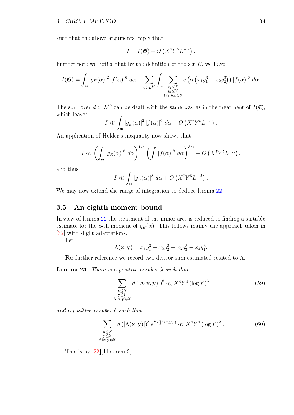such that the above arguments imply that

$$
I = I(\mathfrak{G}) + O\left(X^7 Y^5 L^{-A}\right).
$$

Furthermore we notice that by the definition of the set  $E$ , we have

$$
I(\mathfrak{G}) = \int_{\mathfrak{m}} |g_E(\alpha)|^2 |f(\alpha)|^6 d\alpha - \sum_{d > L^{80}} \int_{\mathfrak{m}} \sum_{\substack{x_i \leq X \\ y_i \leq Y \\ (y_1, y_2) \in \mathfrak{G}}} e\left(\alpha \left(x_1 y_1^3 - x_2 y_2^3\right)\right) |f(\alpha)|^6 d\alpha.
$$

The sum over  $d > L^{80}$  can be dealt with the same way as in the treatment of  $I(\mathfrak{C})$ , which leaves

$$
I \ll \int_{\mathfrak{m}} |g_E(\alpha)|^2 |f(\alpha)|^6 d\alpha + O\left(X^7 Y^5 L^{-A}\right).
$$

An application of Hölder's inequality now shows that

$$
I \ll \left(\int_{\mathfrak{m}} |g_E(\alpha)|^8 \ d\alpha\right)^{1/4} \left(\int_{\mathfrak{m}} |f(\alpha)|^8 \ d\alpha\right)^{3/4} + O\left(X^7 Y^5 L^{-A}\right),
$$

and thus

$$
I \ll \int_{\mathfrak{m}} |g_E(\alpha)|^8 \, d\alpha + O\left(X^7 Y^5 L^{-A}\right).
$$

We may now extend the range of integration to deduce lemma [22.](#page-32-1)

### <span id="page-35-0"></span>3.5 An eighth moment bound

In view of lemma  $22$  the treatment of the minor arcs is reduced to finding a suitable estimate for the 8-th moment of  $g_E(\alpha)$ . This follows mainly the approach taken in [\[32\]](#page-55-8) with slight adaptations.

Let

$$
\Lambda(\mathbf{x}, \mathbf{y}) = x_1 y_1^3 - x_2 y_2^3 + x_3 y_3^3 - x_4 y_4^3.
$$

For further reference we record two divisor sum estimated related to Λ.

**Lemma 23.** There is a positive number  $\lambda$  such that

<span id="page-35-1"></span>
$$
\sum_{\substack{\mathbf{x} \le X \\ \mathbf{y} \le Y \\ \Lambda(\mathbf{x}, \mathbf{y}) \neq 0}} d\left(|\Lambda(\mathbf{x}, \mathbf{y})|\right)^8 \ll X^4 Y^4 \left(\log Y\right)^\lambda \tag{59}
$$

and a positive number  $\delta$  such that

<span id="page-35-2"></span>
$$
\sum_{\substack{\mathbf{x} \le X \\ \mathbf{y} \le Y \\ \Lambda(x, \mathbf{y}) \neq 0}} d\left(|\Lambda(\mathbf{x}, \mathbf{y})|\right)^8 e^{\delta \Omega(|\Lambda(x, \mathbf{y})|)} \ll X^4 Y^4 \left(\log Y\right)^{\lambda}.
$$
\n(60)

This is by [\[22\]](#page-55-13)[Theorem 3].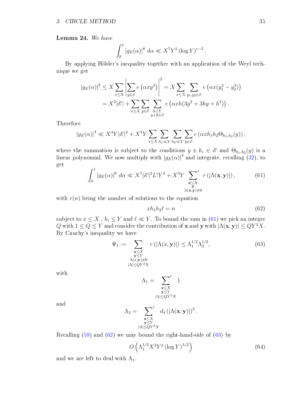<span id="page-36-4"></span>Lemma 24. We have

$$
\int_0^1 |g_E(\alpha)|^8 \, d\alpha \ll X^7 Y^5 \left(\log Y\right)^{\epsilon-2}.
$$

By applying Hölder's inequality together with an application of the Weyl technique we get

$$
|g_E(\alpha)|^2 \le X \sum_{x \le X} \left| \sum_{y \in \mathscr{E}} e(\alpha x y^3) \right|^2 = X \sum_{x \le X} \sum_{y_1, y_2 \in \mathscr{E}} e(\alpha x (y_1^3 - y_2^3))
$$
  
=  $X^2 |\mathscr{E}| + \sum_{x \le X} \sum_{y \in \mathscr{E}} \sum_{\substack{h \le Y \\ y + h \in \mathscr{E}}} e(\alpha x h(3y^2 + 3hy + h^2)).$ 

Therefore

$$
|g_E(\alpha)|^4 \ll X^4 Y |\mathscr{E}|^2 + X^3 Y \sum_{x \le X} \sum_{h_1 \ll Y} \sum_{h_2 \ll Y} \sum_{y \in \mathscr{E}} e(\alpha x h_1 h_2 \Theta_{h_1, h_2}(y)),
$$

where the summation is subject to the conditions  $y \pm h_i \in \mathscr{E}$  and  $\Theta_{h_1,h_2}(y)$  is a linear polynomial. We now multiply with  $|g_E(\alpha)|^4$  and integrate, recalling [\(32\)](#page-23-3), to get

<span id="page-36-0"></span>
$$
\int_0^1 |g_E(\alpha)|^8 \, d\alpha \ll X^7 |\mathscr{E}|^2 L^{\epsilon} Y^3 + X^3 Y \sum_{\substack{\mathbf{x} \le X \\ \Lambda(\mathbf{x}, \mathbf{y}) \neq 0}}' r(|\Lambda(\mathbf{x}, \mathbf{y})|) \,, \tag{61}
$$

with  $r(n)$  being the number of solutions to the equation

<span id="page-36-1"></span>
$$
xh_1h_2\ell = n \tag{62}
$$

subject to  $x \leq X$  ,  $h_i \leq Y$  and  $\ell \ll Y$ . To bound the sum in [\(61\)](#page-36-0) we pick an integer Q with  $1 \le Q \le Y$  and consider the contribution of **x** and **y** with  $|\Lambda(\mathbf{x}, \mathbf{y})| \le QY^2X$ . By Cauchy's inequality we have

<span id="page-36-2"></span>
$$
\Psi_1 := \sum_{\substack{\mathbf{x} \le X \\ \mathbf{y} \le Y \\ \Lambda(x,\mathbf{y}) \neq 0 \\ |\Lambda| \le QY^2 X}} r\left(|\Lambda(x,\mathbf{y})|\right) \le \Lambda_1^{1/2} \Lambda_2^{1/2},\tag{63}
$$

with

$$
\Lambda_1 = \sum_{\substack{\mathbf{x} \leq X \\ \mathbf{y} \leq Y \\ |\Lambda| \leq QY^2X}} 1
$$

and

$$
\Lambda_2 = \sum_{\substack{\mathbf{x} \leq X \\ \mathbf{y} \leq Y \\ |\Lambda| \leq QY^2X}} d_4 (\vert \Lambda(\mathbf{x}, \mathbf{y}) \vert)^2.
$$

Recalling [\(59\)](#page-35-1) and [\(62\)](#page-36-1) we may bound the right-hand-side of [\(63\)](#page-36-2) by

<span id="page-36-3"></span>
$$
O\left(\Lambda_1^{1/2} X^2 Y^2 \left(\log Y\right)^{\lambda/2}\right) \tag{64}
$$

and we are left to deal with  $\Lambda_1$ .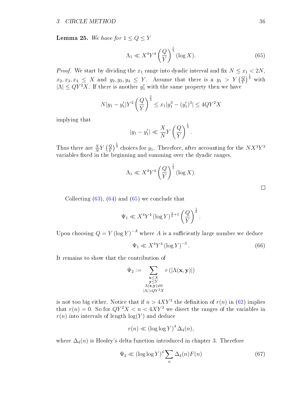**Lemma 25.** We have for  $1 \le Q \le Y$ 

<span id="page-37-0"></span>
$$
\Lambda_1 \ll X^4 Y^4 \left(\frac{Q}{Y}\right)^{\frac{1}{3}} (\log X). \tag{65}
$$

*Proof.* We start by dividing the  $x_1$  range into dyadic interval and fix  $N \le x_1 < 2N$ ,  $x_2, x_3, x_4 \leq X \text{ and } y_2, y_3, y_4 \leq Y.$  Assume that there is a  $y_1 > Y \left(\frac{Q}{Y}\right)^{\frac{1}{3}}$  with  $|\Lambda| \leq QY^2X$ . If there is another  $y'_1$  with the same property then we have

$$
N|y_1 - y_1'|Y^2 \left(\frac{Q}{Y}\right)^{\frac{2}{3}} \le x_1|y_1^3 - (y_1')^3| \le 4QY^2X
$$

implying that

$$
|y_1 - y_1'| \ll \frac{X}{N} Y \left(\frac{Q}{Y}\right)^{\frac{1}{3}}.
$$

Thus there are  $\frac{X}{N}Y\left(\frac{Q}{Y}\right)^{\frac{1}{3}}$  choices for  $y_1$ . Therefore, after accounting for the  $NX^3Y^3$ variables fixed in the beginning and summing over the dyadic ranges,

$$
\Lambda_1 \ll X^4 Y^4 \left(\frac{Q}{Y}\right)^{\frac{1}{3}} (\log X).
$$

Collecting  $(63)$ ,  $(64)$  and  $(65)$  we conclude that

$$
\Psi_1 \ll X^4 Y^4 \left(\log Y\right)^{\frac{\lambda}{2}+1} \left(\frac{Q}{Y}\right)^{\frac{1}{6}}.
$$

Upon choosing  $Q = Y (\log Y)^{-A}$  where A is a sufficiently large number we deduce

<span id="page-37-2"></span>
$$
\Psi_1 \ll X^4 Y^4 \left(\log Y\right)^{-3}.\tag{66}
$$

It remains to show that the contribution of

$$
\Psi_2 := \sum_{\substack{\mathbf{x} \le X \\ \mathbf{y} \le Y \\ \Lambda(\mathbf{x}, \mathbf{y}) \neq 0 \\ |\Lambda| > QY^2X}} r(|\Lambda(\mathbf{x}, \mathbf{y})|)
$$

is not too big either. Notice that if  $n > 4XY^3$  the definition of  $r(n)$  in [\(62\)](#page-36-1) implies that  $r(n) = 0$ . So for  $QY^2X < n < 4XY^3$  we disect the ranges of the variables in  $r(n)$  into intervals of length  $log(Y)$  and deduce

$$
r(n) \ll (\log \log Y)^4 \Delta_4(n),
$$

where  $\Delta_4(n)$  is Hooley's delta function introduced in chapter 3. Therefore

<span id="page-37-1"></span>
$$
\Psi_2 \ll (\log \log Y)^4 \sum_n \Delta_4(n) F(n) \tag{67}
$$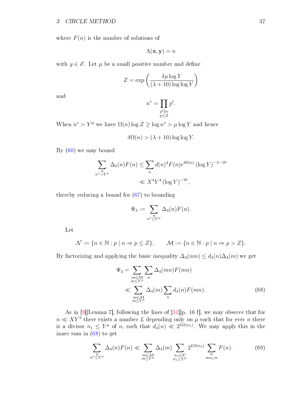where  $F(n)$  is the number of solutions of

$$
\Lambda(\mathbf{x}, \mathbf{y}) = n
$$

with  $y \in \mathscr{E}$ . Let  $\mu$  be a small positive number and define

$$
Z = \exp\left(\frac{\delta\mu\log Y}{(\lambda + 10)\log\log Y}\right)
$$

and

$$
n^* = \prod_{\substack{p^t \parallel n \\ p \le Z}} p^t.
$$

When  $n^* > Y^{\mu}$  we have  $\Omega(n) \log Z \ge \log n^* > \mu \log Y$  and hence

$$
\delta\Omega(n) > (\lambda + 10) \log \log Y.
$$

By [\(60\)](#page-35-2) we may bound

$$
\sum_{n^* \ge Y^{\mu}} \Delta_4(n) F(n) \le \sum_n d(n)^4 F(n) e^{\delta \Omega(n)} (\log Y)^{-\lambda - 10}
$$
  
 $\ll X^4 Y^4 (\log Y)^{-10},$ 

thereby reducing a bound for [\(67\)](#page-37-1) to bounding

$$
\Psi_3 := \sum_{\substack{n \\ n^* \le Y^\mu}} \Delta_4(n) F(n).
$$

Let

$$
\mathcal{N} := \{ n \in \mathbb{N} : p \mid n \Rightarrow p \le Z \}, \qquad \mathcal{M} := \{ n \in \mathbb{N} : p \mid n \Rightarrow p > Z \}.
$$

By factorizing and applying the basic inequality  $\Delta_4(nm) \leq d_4(n)\Delta_4(m)$  we get

<span id="page-38-0"></span>
$$
\Psi_3 = \sum_{\substack{m \in \mathcal{M} \\ m \le Y^\mu}} \sum_n \Delta_4(mn) F(mn)
$$
  
\$\ll \sum\_{\substack{m \in \mathcal{M} \\ m \le Y^\mu}} \Delta\_4(m) \sum\_n d\_4(n) F(mn). \tag{68}

As in [\[9\]](#page-54-13)[Lemma 7], following the lines of [\[31\]](#page-55-2)[p. 16 f], we may observe that for  $n \ll XY^3$  there exists a number L depending only on  $\mu$  such that for ever n there is a divisor  $n_1 \leq Y^{\mu}$  of n, such that  $d_4(n) \ll 2^{L\Omega(n_1)}$ . We may apply this in the inner sum in [\(68\)](#page-38-0) to get

<span id="page-38-1"></span>
$$
\sum_{n^* \le Y^{\mu}} \Delta_4(n) F(n) \ll \sum_{\substack{m \in \mathcal{M} \\ m \le Y^{\mu}}} \Delta_4(m) \sum_{\substack{n_1 \in \mathcal{N} \\ n_1 \le Y^{\mu}}} 2^{L\Omega(n_1)} \sum_{\substack{n \\ mn_1 | n}} F(n). \tag{69}
$$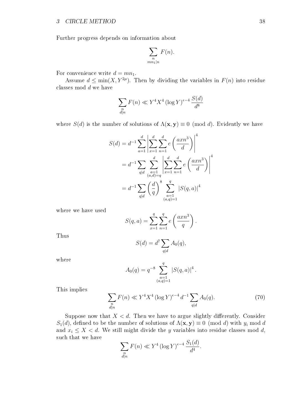Further progress depends on information about

$$
\sum_{\substack{n\\mn_1|n}} F(n).
$$

For convenience write  $d = mn_1$ .

Assume  $d \le \min(X, Y^{2\mu})$ . Then by dividing the variables in  $F(n)$  into residue classes mod d we have

$$
\sum_{\substack{n \\ d|n}} F(n) \ll Y^4 X^4 \left(\log Y\right)^{\epsilon-4} \frac{S(d)}{d^8}
$$

where  $S(d)$  is the number of solutions of  $\Lambda(\mathbf{x}, \mathbf{y}) \equiv 0 \pmod{d}$ . Evidently we have

$$
S(d) = d^{-1} \sum_{a=1}^{d} \left| \sum_{x=1}^{d} \sum_{n=1}^{d} e\left(\frac{axn^3}{d}\right) \right|^4
$$
  
=  $d^{-1} \sum_{q|d} \sum_{\substack{a=1 \\ (a,d)=q}}^{d} \left| \sum_{x=1}^{d} \sum_{n=1}^{d} e\left(\frac{axn^3}{d}\right) \right|^4$   
=  $d^{-1} \sum_{q|d} \left(\frac{d}{q}\right)^8 \sum_{\substack{a=1 \\ (a,q)=1}}^{q} |S(q,a)|^4$ 

where we have used

$$
S(q, a) = \sum_{x=1}^{q} \sum_{n=1}^{q} e\left(\frac{axn^3}{q}\right).
$$

Thus

$$
S(d) = d^7 \sum_{q \mid d} A_0(q),
$$

where

$$
A_0(q) = q^{-8} \sum_{\substack{a=1 \ (a,q)=1}}^q |S(q,a)|^4.
$$

This implies

<span id="page-39-0"></span>
$$
\sum_{\substack{n\\d|n}} F(n) \ll Y^4 X^4 \left(\log Y\right)^{\epsilon-4} d^{-1} \sum_{q|d} A_0(q). \tag{70}
$$

Suppose now that  $X < d$ . Then we have to argue slightly differently. Consider  $S_1(d)$ , defined to be the number of solutions of  $\Lambda(\mathbf{x}, \mathbf{y}) \equiv 0 \pmod{d}$  with  $y_i \bmod d$ and  $x_i \leq X < d$ . We still might divide the y variables into residue classes mod d, such that we have

$$
\sum_{\substack{n \\ d|n}} F(n) \ll Y^4 (\log Y)^{\epsilon - 4} \frac{S_1(d)}{d^4}.
$$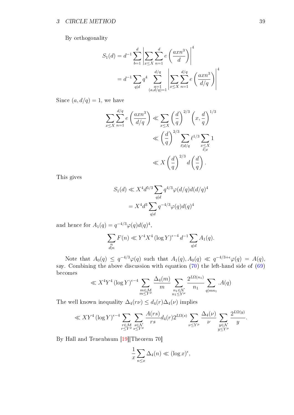By orthogonality

$$
S_1(d) = d^{-1} \sum_{b=1}^d \left| \sum_{x \le X} \sum_{n=1}^d e\left(\frac{axn^3}{d}\right) \right|^4
$$
  
=  $d^{-1} \sum_{q|d} q^4 \sum_{\substack{a=1 \ (a,d/q)=1}}^{d/q} \left| \sum_{x \le X} \sum_{n=1}^{d/q} e\left(\frac{axn^3}{d/q}\right) \right|^4$ 

Since  $(a, d/q) = 1$ , we have

$$
\sum_{x \le X} \sum_{n=1}^{d/q} e\left(\frac{axn^3}{d/q}\right) \ll \sum_{x \le X} \left(\frac{d}{q}\right)^{2/3} \left(x, \frac{d}{q}\right)^{1/3}
$$

$$
\ll \left(\frac{d}{q}\right)^{2/3} \sum_{\substack{\ell \mid d/q}} \ell^{1/3} \sum_{\substack{x \le X \\ \ell \mid x}} 1
$$

$$
\ll X \left(\frac{d}{q}\right)^{2/3} d\left(\frac{d}{q}\right).
$$

This gives

$$
S_1(d) \ll X^4 d^{5/3} \sum_{q|d} q^{4/3} \varphi(d/q) d(d/q)^4
$$
  
= 
$$
X^4 d^3 \sum_{q|d} q^{-4/3} \varphi(q) d(q)^4
$$

and hence for  $A_1(q) = q^{-4/3} \varphi(q) d(q)^4$ ,

$$
\sum_{\substack{n \\ d|n}} F(n) \ll Y^4 X^4 \left(\log Y\right)^{\epsilon-4} d^{-1} \sum_{q|d} A_1(q).
$$

Note that  $A_0(q) \leq q^{-4/3} \varphi(q)$  such that  $A_1(q), A_0(q) \ll q^{-4/3+\epsilon} \varphi(q) = A(q),$ say. Combining the above discussion with equation [\(70\)](#page-39-0) the left-hand side of [\(69\)](#page-38-1) becomes  $\overline{h}$ 

$$
\ll X^4 Y^4 (\log Y)^{\epsilon-4} \sum_{\substack{m \in \mathcal{M} \\ m \le Y^\mu}} \frac{\Delta_4(m)}{m} \sum_{\substack{n_1 \in \mathcal{N} \\ n_1 \le Y^\mu}} \frac{2^{L\Omega(n_1)}}{n_1} \sum_{q | mn_1} .A(q)
$$

The well known inequality  $\Delta_4(r\nu) \leq d_4(r)\Delta_4(\nu)$  implies

$$
\ll XY^4 \left(\log Y\right)^{\epsilon-4} \sum_{\substack{r \in \mathcal{M} \\ r \le Y^\mu}} \sum_{\substack{s \in \mathcal{N} \\ s \le Y^\mu}} \frac{A(rs)}{rs} d_4(r) 2^{L\Omega(s)} \sum_{\nu \le Y^\mu} \frac{\Delta_4(\nu)}{\nu} \sum_{\substack{y \in \mathcal{N} \\ y \le Y^\mu}} \frac{2^{L\Omega(y)}}{y}.
$$

By Hall and Tenenbaum [\[19\]](#page-55-12)[Theorem 70]

$$
\frac{1}{x} \sum_{n \le x} \Delta_4(n) \ll (\log x)^{\epsilon},
$$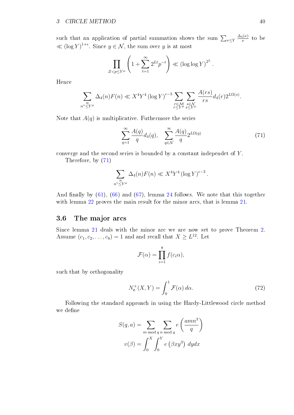such that an application of partial summation shows the sum  $\sum_{\nu\leq Y}$  $\Delta_4(\nu)$  $\frac{4(\nu)}{\nu}$  to be  $\ll (\log Y)^{1+\epsilon}$ . Since  $y \in \mathcal{N}$ , the sum over y is at most

$$
\prod_{Z
$$

Hence

$$
\sum_{\substack{n \overset{n}{\leq} Y^{\mu}}} \Delta_4(n) F(n) \ll X^4 Y^4 \left( \log Y \right)^{\epsilon-3} \sum_{\substack{r \in \mathcal{M} \\ r \leq Y^{\mu}}}\sum_{\substack{s \in \mathcal{N} \\ s \leq Y^{\mu}}} \frac{A(rs)}{rs} d_4(r) 2^{L\Omega(s)}.
$$

Note that  $A(q)$  is multiplicative. Futhermore the series

<span id="page-41-1"></span>
$$
\sum_{q=1}^{\infty} \frac{A(q)}{q} d_4(q), \quad \sum_{q \in \mathcal{N}}^{\infty} \frac{A(q)}{q} 2^{L\Omega(q)} \tag{71}
$$

converge and the second series is bounded by a constant independet of Y .

Therefore, by [\(71\)](#page-41-1)

$$
\sum_{n^* \leq Y^{\mu}} \Delta_4(n) F(n) \ll X^4 Y^4 \left(\log Y\right)^{\epsilon-3}.
$$

And finally by  $(61)$ ,  $(66)$  and  $(67)$ , lemma [24](#page-36-4) follows. We note that this together with lemma [22](#page-32-1) proves the main result for the minor arcs, that is lemma [21.](#page-32-2)

### <span id="page-41-0"></span>3.6 The major arcs

Since lemma [21](#page-32-2) deals with the minor arc we are now set to prove Theorem [2.](#page-19-3) Assume  $(c_1, c_2, \ldots, c_8) = 1$  and and recall that  $X \ge L^{12}$ . Let

$$
\mathcal{F}(\alpha) = \prod_{i=1}^{8} f(c_i \alpha),
$$

such that by orthogonality

<span id="page-41-2"></span>
$$
N_{\mathbf{c}}^{+}(X,Y) = \int_{0}^{1} \mathcal{F}(\alpha) \, d\alpha. \tag{72}
$$

Following the standard approach in using the Hardy-Littlewood circle method we define

$$
S(q, a) = \sum_{m \bmod q} \sum_{n \bmod q} e\left(\frac{amn^3}{q}\right)
$$

$$
v(\beta) = \int_0^X \int_0^Y e(\beta xy^3) \, dy dx
$$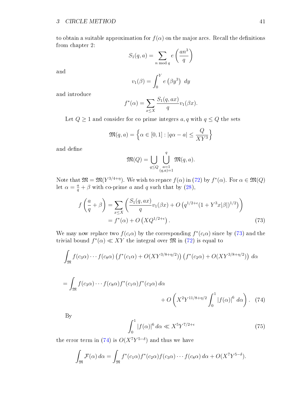to obtain a suitable approximation for  $f(\alpha)$  on the major arcs. Recall the definitions from chapter 2:

$$
S_1(q, a) = \sum_{n \bmod q} e\left(\frac{an^3}{q}\right)
$$

and

$$
v_1(\beta) = \int_0^Y e(\beta y^3) dy
$$

and introduce

$$
f^*(\alpha) = \sum_{x \le X} \frac{S_1(q, ax)}{q} v_1(\beta x).
$$

Let  $Q \geq 1$  and consider for co prime integers  $a, q$  with  $q \leq Q$  the sets

$$
\mathfrak{M}(q,a) = \left\{ \alpha \in [0,1] : |q\alpha - a| \le \frac{Q}{XY^3} \right\}
$$

and define

<span id="page-42-0"></span>
$$
\mathfrak{M}(Q) = \bigcup_{q \le Q} \bigcup_{\substack{a=1 \\ (q,a)=1}}^q \mathfrak{M}(q,a).
$$

Note that  $\mathfrak{M} = \mathfrak{M}(Y^{3/4+\eta})$ . We wish to repace  $f(\alpha)$  in [\(72\)](#page-41-2) by  $f^*(\alpha)$ . For  $\alpha \in \mathfrak{M}(Q)$ let  $\alpha = \frac{a}{q} + \beta$  with co-prime a and q such that by [\(28\)](#page-20-2),

$$
f\left(\frac{a}{q} + \beta\right) = \sum_{x \le X} \left(\frac{S_1(q, ax)}{q} v_1(\beta x) + O\left(q^{1/2 + \epsilon} (1 + Y^3 x |\beta|)^{1/2}\right)\right)
$$
  
=  $f^*(\alpha) + O\left(XQ^{1/2 + \epsilon}\right).$  (73)

We may now replace two  $f(c_i\alpha)$  by the corresponding  $f^*(c_i\alpha)$  since by [\(73\)](#page-42-0) and the trivial bound  $f^*(\alpha) \ll XY$  the integral over  $\mathfrak M$  in [\(72\)](#page-41-2) is equal to

$$
\int_{\mathfrak{M}} f(c_3\alpha) \cdots f(c_8\alpha) \left( f^*(c_1\alpha) + O(XY^{3/8+\eta/2}) \right) \left( f^*(c_2\alpha) + O(XY^{3/8+\eta/2}) \right) d\alpha
$$

$$
= \int_{\mathfrak{M}} f(c_3 \alpha) \cdots f(c_8 \alpha) f^*(c_1 \alpha) f^*(c_2 \alpha) d\alpha + O\left(X^2 Y^{11/8 + \eta/2} \int_0^1 |f(\alpha)|^6 d\alpha\right). \tag{74}
$$

By

<span id="page-42-2"></span><span id="page-42-1"></span>
$$
\int_0^1 |f(\alpha)|^6 d\alpha \ll X^5 Y^{7/2 + \epsilon} \tag{75}
$$

the error term in [\(74\)](#page-42-1) is  $O(X^7Y^{5-\delta})$  and thus we have

$$
\int_{\mathfrak{M}} \mathcal{F}(\alpha) d\alpha = \int_{\mathfrak{M}} f^*(c_1 \alpha) f^*(c_2 \alpha) f(c_3 \alpha) \cdots f(c_8 \alpha) d\alpha + O(X^7 Y^{5-\delta}).
$$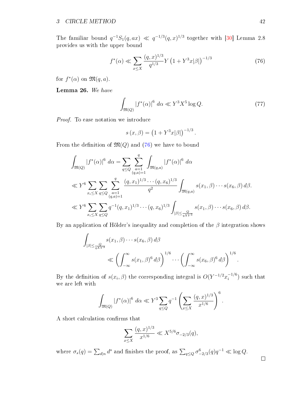The familiar bound  $q^{-1}S_1(q,ax) \ll q^{-1/3}(q,x)^{1/3}$  together with [\[30\]](#page-55-0) Lemma 2.8 provides us with the upper bound

<span id="page-43-0"></span>
$$
f^*(\alpha) \ll \sum_{x \le X} \frac{(q, x)^{1/3}}{q^{1/3}} Y \left(1 + Y^3 x |\beta|\right)^{-1/3} \tag{76}
$$

for  $f^*(\alpha)$  on  $\mathfrak{M}(q, a)$ .

Lemma 26. We have

<span id="page-43-1"></span>
$$
\int_{\mathfrak{M}(Q)} |f^*(\alpha)|^6 \, d\alpha \ll Y^3 X^5 \log Q. \tag{77}
$$

Proof. To ease notation we introduce

$$
s(x, \beta) = (1 + Y^3 x|\beta|)^{-1/3}.
$$

From the definition of  $\mathfrak{M}(Q)$  and [\(76\)](#page-43-0) we have to bound

$$
\int_{\mathfrak{M}(Q)} |f^*(\alpha)|^6 \, d\alpha = \sum_{q \le Q} \sum_{\substack{a=1 \\ (q,a)=1}}^q \int_{\mathfrak{M}(q,a)} |f^*(\alpha)|^6 \, d\alpha
$$
\n
$$
\ll Y^6 \sum_{x_i \le X} \sum_{q \le Q} \sum_{\substack{a=1 \\ (q,a)=1}}^q \frac{(q, x_1)^{1/3} \cdots (q, x_6)^{1/3}}{q^2} \int_{\mathfrak{M}(q,a)} s(x_1, \beta) \cdots s(x_6, \beta) \, d\beta.
$$
\n
$$
\ll Y^6 \sum_{x_i \le X} \sum_{q \le Q} q^{-1} (q, x_1)^{1/3} \cdots (q, x_6)^{1/3} \int_{|\beta| \le \frac{Q}{qXY^3}} s(x_1, \beta) \cdots s(x_6, \beta) \, d\beta.
$$

By an application of Hölder's inequality and completion of the  $\beta$  integration shows

$$
\int_{|\beta| \leq \frac{Q}{qXY^3}} s(x_1, \beta) \cdots s(x_6, \beta) d\beta
$$
\n
$$
\ll \left( \int_{-\infty}^{\infty} s(x_1, \beta)^6 d\beta \right)^{1/6} \cdots \left( \int_{-\infty}^{\infty} s(x_6, \beta)^6 d\beta \right)^{1/6}.
$$

By the definition of  $s(x_i, \beta)$  the corresponding integral is  $O(Y^{-1/2}x_i^{-1/6})$  $\binom{-1}{i}$  such that we are left with

$$
\int_{\mathfrak{M}(Q)} |f^*(\alpha)|^6 \, d\alpha \ll Y^3 \sum_{q \leq Q} q^{-1} \left( \sum_{x \leq X} \frac{(q, x)^{1/3}}{x^{1/6}} \right)^6.
$$

A short calculation confirms that

$$
\sum_{x \le X} \frac{(q, x)^{1/3}}{x^{1/6}} \ll X^{5/6} \sigma_{-2/3}(q),
$$

where  $\sigma_s(q) = \sum_{d|n} d^s$  and finishes the proof, as  $\sum_{q \leq Q} \sigma_{-2/3}^6(q) q^{-1} \ll \log Q$ .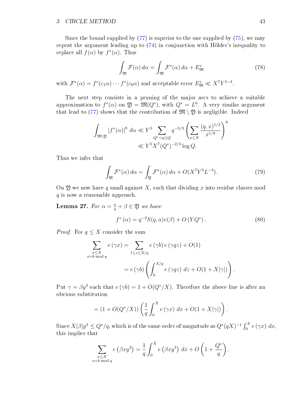Since the bound supplied by  $(77)$  is superior to the one supplied by  $(75)$ , we may repeat the argument leading up to [\(74\)](#page-42-1) in conjunction with Hölder's inequality to replace all  $f(\alpha)$  by  $f^*(\alpha)$ . Thus

<span id="page-44-0"></span>
$$
\int_{\mathfrak{M}} \mathcal{F}(\alpha) d\alpha = \int_{\mathfrak{M}} \mathcal{F}^*(\alpha) d\alpha + E^*_{\mathfrak{M}} \tag{78}
$$

with  $\mathcal{F}^*(\alpha) = f^*(c_1 \alpha) \cdots f^*(c_8 \alpha)$  and acceptable error  $E^*_{\mathfrak{M}} \ll X^7 Y^{5-\delta}$ .

The next step consists in a pruning of the major arcs to achieve a suitable approximation to  $f^*(\alpha)$  on  $\mathfrak{Y} = \mathfrak{M}(Q^*)$ , with  $Q^* = L^6$ . A very similar argument that lead to [\(77\)](#page-43-1) shows that the contribution of  $\mathfrak{M} \setminus \mathfrak{Y}$  is negligible. Indeed

$$
\int_{\mathfrak{M}\backslash\mathfrak{Y}} |f^*(\alpha)|^8 \ d\alpha \ll Y^5 \sum_{Q^* < q \le Q} q^{-5/3} \left( \sum_{x \le X} \frac{(q, x)^{1/3}}{x^{1/8}} \right)^8
$$
\n
$$
\ll Y^5 X^7 (Q^*)^{-2/3} \log Q.
$$

Thus we infer that

<span id="page-44-1"></span>
$$
\int_{\mathfrak{M}} \mathcal{F}^*(\alpha) d\alpha = \int_{\mathfrak{Y}} \mathcal{F}^*(\alpha) d\alpha + O(X^7 Y^5 L^{-3}).
$$
\n(79)

On 2) we now have q small against X, such that dividing x into residue classes mod q is now a reasonable approach.

**Lemma 27.** For  $\alpha = \frac{a}{q} + \beta \in \mathfrak{Y}$  we have

<span id="page-44-2"></span>
$$
f^*(\alpha) = q^{-2}S(q, a)v(\beta) + O(YQ^*).
$$
 (80)

*Proof.* For  $q \leq X$  consider the sum

$$
\sum_{\substack{x \le X \\ x = b \bmod q}} e(\gamma x) = \sum_{1 \le z \le X/q} e(\gamma b) e(\gamma q z) + O(1)
$$

$$
= e(\gamma b) \left( \int_0^{X/q} e(\gamma q z) dz + O(1 + X|\gamma|) \right).
$$

Put  $\gamma = \beta y^3$  such that  $e(\gamma b) = 1 + O(Q^*/X)$ . Therefore the above line is after an obvious substitution

$$
= (1 + O(Q^*/X)) \left( \frac{1}{q} \int_0^X e(\gamma x) dx + O(1+X|\gamma|) \right).
$$

Since  $X|\beta|y^3 \leq Q^*/q$ , which is of the same order of magnitude as  $Q^*(qX)^{-1}\int_0^X e\,(\gamma x)\;dx$ , this implies that

$$
\sum_{\substack{x \leq X \\ x = b \bmod q}} e(\beta xy^3) = \frac{1}{q} \int_0^X e(\beta xy^3) dx + O\left(1 + \frac{Q^*}{q}\right).
$$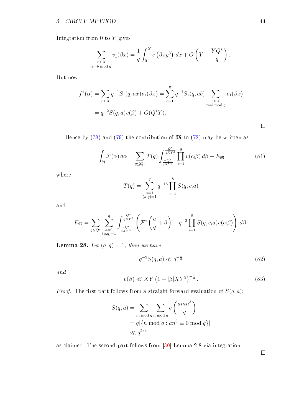Integration from 0 to Y gives

$$
\sum_{\substack{x \leq X \\ x \equiv b \bmod q}} v_1(\beta x) = \frac{1}{q} \int_0^X e(\beta x y^3) dx + O\left(Y + \frac{YQ^*}{q}\right).
$$

But now

$$
f^*(\alpha) = \sum_{x \le X} q^{-1} S_1(q, ax) v_1(\beta x) = \sum_{b=1}^q q^{-1} S_1(q, ab) \sum_{\substack{x \le X \\ x = b \bmod q}} v_1(\beta x)
$$
  
=  $q^{-2} S(q, a) v(\beta) + O(Q^*Y).$ 

Hence by  $(78)$  and  $(79)$  the contribution of  $\mathfrak{M}$  to  $(72)$  may be written as

<span id="page-45-2"></span>
$$
\int_{\mathfrak{Y}} \mathcal{F}(\alpha) d\alpha = \sum_{q \le Q^*} T(q) \int_{\frac{-Q^*}{qXY^3}}^{\frac{Q^*}{qXY^3}} \prod_{i=1}^8 v(c_i \beta) d\beta + E_{\mathfrak{M}} \tag{81}
$$

where

$$
T(q) = \sum_{\substack{a=1 \ (a,q)=1}}^{q} q^{-16} \prod_{i=1}^{8} S(q, c_i a)
$$

and

$$
E_{\mathfrak{M}} = \sum_{q \leq Q^*} \sum_{\substack{a=1 \\ (a,q)=1}}^q \int_{\frac{-Q^*}{qXY^3}}^{\frac{Q^*}{qXY^3}} \left( \mathcal{F}^* \left( \frac{a}{q} + \beta \right) - q^{-2} \prod_{i=1}^8 S(q, c_i a) v(c_i \beta) \right) d\beta.
$$

**Lemma 28.** Let  $(a, q) = 1$ , then we have

<span id="page-45-0"></span>
$$
q^{-2}S(q, a) \ll q^{-\frac{1}{3}}\tag{82}
$$

and

<span id="page-45-1"></span>
$$
v(\beta) \ll XY \left(1 + |\beta|XY^3\right)^{-\frac{1}{3}}.\tag{83}
$$

*Proof.* The first part follows from a straight forward evaluation of  $S(q, a)$ :

$$
S(q, a) = \sum_{m \bmod q} \sum_{n \bmod q} e\left(\frac{amn^3}{q}\right)
$$
  
=  $q | \{n \bmod q : an^3 \equiv 0 \bmod q\} |$   
 $\ll q^{5/3}.$ 

as claimed. The second part follows from [\[30\]](#page-55-0) Lemma 2.8 via integration.

 $\Box$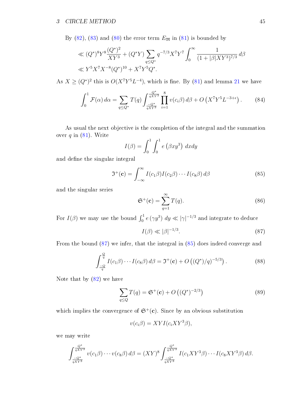By  $(82)$ ,  $(83)$  and  $(80)$  the error term  $E_{\mathfrak{M}}$  in  $(81)$  is bounded by

$$
\ll (Q^*)^8 Y^8 \frac{(Q^*)^2}{XY^3} + (Q^*Y) \sum_{q \le Q^*} q^{-7/3} X^7 Y^7 \int_0^\infty \frac{1}{(1+|\beta|XY^3)^{7/3}} d\beta
$$
  

$$
\ll Y^5 X^7 X^{-8} (Q^*)^{10} + X^7 Y^5 Q^*.
$$

As  $X \geq (Q^*)^2$  this is  $O(X^7Y^5L^{-4})$ , which is fine. By [\(81\)](#page-45-2) and lemma [21](#page-32-2) we have

<span id="page-46-2"></span>
$$
\int_0^1 \mathcal{F}(\alpha) d\alpha = \sum_{q \le Q^*} T(q) \int_{\frac{-Q^*}{qXY^3}}^{\frac{Q^*}{qXY^3}} \prod_{i=1}^8 v(c_i \beta) d\beta + O\left(X^7 Y^5 L^{-3+\epsilon}\right). \tag{84}
$$

As usual the next objective is the completion of the integral and the summation over  $q$  in  $(81)$ . Write

$$
I(\beta) = \int_0^1 \int_0^1 e(\beta x y^3) dx dy
$$

and define the singular integral

<span id="page-46-1"></span>
$$
\mathfrak{I}^+(\mathbf{c}) = \int_{-\infty}^{\infty} I(c_1 \beta) I(c_2 \beta) \cdots I(c_8 \beta) d\beta \tag{85}
$$

and the singular series

<span id="page-46-5"></span>
$$
\mathfrak{S}^+(\mathbf{c}) = \sum_{q=1}^{\infty} T(q). \tag{86}
$$

For  $I(\beta)$  we may use the bound  $\int_0^1 e(\gamma y^3) dy \ll |\gamma|^{-1/3}$  and integrate to deduce

<span id="page-46-0"></span>
$$
I(\beta) \ll |\beta|^{-1/3}.\tag{87}
$$

From the bound [\(87\)](#page-46-0) we infer, that the integral in [\(85\)](#page-46-1) does indeed converge and

<span id="page-46-3"></span>
$$
\int_{\frac{-Q}{q}}^{\frac{Q}{q}} I(c_1\beta) \cdots I(c_8\beta) d\beta = \mathfrak{I}^+(\mathbf{c}) + O\left((Q^*)/q\right)^{-5/3}\right).
$$
 (88)

Note that by [\(82\)](#page-45-0) we have

<span id="page-46-4"></span>
$$
\sum_{q \le Q} T(q) = \mathfrak{S}^+(\mathbf{c}) + O\left((Q^*)^{-2/3}\right) \tag{89}
$$

which implies the convergence of  $\mathfrak{S}^+(\mathbf{c})$ . Since by an obvious substitution

$$
v(c_i \beta) = XYI(c_i XY^3 \beta),
$$

we may write

$$
\int_{\frac{-Q^*}{qXY^3}}^{\frac{Q^*}{qXY^3}} v(c_1\beta) \cdots v(c_8\beta) d\beta = (XY)^8 \int_{\frac{-Q^*}{qXY^3}}^{\frac{Q^*}{qXY^3}} I(c_1XY^3\beta) \cdots I(c_8XY^3\beta) d\beta.
$$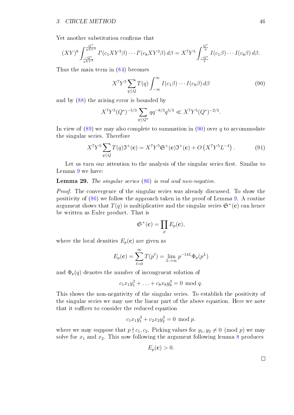Yet another substitution confirms that

$$
(XY)^{8} \int_{\frac{-Q^{*}}{qXY^{3}}}^{\frac{Q^{*}}{qXY^{3}}} I'(c_{1}XY^{3}\beta) \cdots I'(c_{8}XY^{3}\beta) d\beta = X^{7}Y^{5} \int_{\frac{-Q^{*}}{q}}^{\frac{Q^{*}}{q}} I(c_{1}\beta) \cdots I(c_{8}\beta) d\beta.
$$

Thus the main term in [\(84\)](#page-46-2) becomes

<span id="page-47-0"></span>
$$
X^{7}Y^{5}\sum_{q\leq Q}T(q)\int_{-\infty}^{\infty}I(c_{1}\beta)\cdots I(c_{8}\beta)d\beta
$$
\n(90)

and by [\(88\)](#page-46-3) the arising error is bounded by

$$
X^7 Y^5 (Q^*)^{-5/3} \sum_{q \le Q^*} q q^{-8/3} q^{5/3} \ll X^7 Y^5 (Q^*)^{-2/3}.
$$

In view of  $(89)$  we may also complete to summation in  $(90)$  over q to accommodate the singular series. Therefore

<span id="page-47-1"></span>
$$
X^{7}Y^{5}\sum_{q\leq Q}T(q)\mathfrak{I}^{+}(\mathbf{c})=X^{7}Y^{5}\mathfrak{S}^{+}(\mathbf{c})\mathfrak{I}^{+}(\mathbf{c})+O(X^{7}Y^{5}L^{-4}).
$$
\n(91)

Let us turn our attention to the analysis of the singular series first. Similar to Lemma [9](#page-17-2) we have:

**Lemma 29.** The singular series  $(86)$  is real and non-negative.

Proof. The convergence of the singular series was already discussed. To show the positivity of [\(86\)](#page-46-5) we follow the approach taken in the proof of Lemma [9.](#page-17-2) A routine argument shows that  $T(q)$  is multiplicative and the singular series  $\mathfrak{S}^+(\mathbf{c})$  can hence be written as Euler product. That is

$$
\mathfrak{S}^+(\mathbf{c}) = \prod_p E_p(\mathbf{c}),
$$

where the local densities  $E_p(c)$  are given as

$$
E_p(\mathbf{c}) = \sum_{\ell=0}^{\infty} T(p^{\ell}) = \lim_{L \to \infty} p^{-14L} \Phi_{\mathbf{c}}(p^L)
$$

and  $\Phi_{c}(q)$  denotes the number of incongruent solution of

$$
c_1x_1y_1^3 + \ldots + c_8x_8y_8^3 = 0 \mod q.
$$

This shows the non-negativity of the singular series. To establish the positivity of the singular series we may use the linear part of the above equation. Here we note that it suffices to consider the reduced equation

$$
c_1x_1y_1^3 + c_2x_2y_2^3 = 0 \text{ mod } p.
$$

where we may suppose that  $p \nmid c_1, c_2$ . Picking values for  $y_1, y_2 \neq 0 \pmod{p}$  we may solve for  $x_1$  and  $x_2$ . This now following the argument following lemma [8](#page-17-3) produces

$$
E_p(\mathbf{c}) > 0.
$$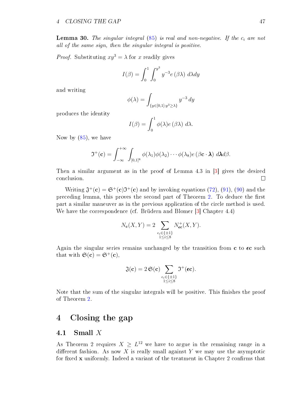**Lemma 30.** The singular integral  $(85)$  is real and non-negative. If the  $c_i$  are not all of the same sign, then the singular integral is positive.

*Proof.* Substituting  $xy^3 = \lambda$  for x readily gives

$$
I(\beta) = \int_0^1 \int_0^{y^3} y^{-3} e(\beta \lambda) d\lambda dy
$$

and writing

$$
\phi(\lambda) = \int_{\{y \in [0,1]: y^3 \ge \lambda\}} y^{-3} dy
$$

produces the identity

$$
I(\beta) = \int_0^1 \phi(\lambda) e(\beta \lambda) d\lambda.
$$

Now by [\(85\)](#page-46-1), we have

$$
\mathfrak{I}^+(\mathbf{c})=\int_{-\infty}^{+\infty}\int_{[0,1]^8}\phi(\lambda_1)\phi(\lambda_2)\cdots\phi(\lambda_8)e(\beta\mathbf{c}\cdot\boldsymbol{\lambda}) d\boldsymbol{\lambda} d\beta.
$$

Then a similar argument as in the proof of Lemma 4.3 in [\[3\]](#page-54-8) gives the desired conclusion.  $\Box$ 

Writing  $\mathfrak{J}^+(\mathbf{c}) = \mathfrak{S}^+(\mathbf{c})\mathfrak{I}^+(\mathbf{c})$  and by invoking equations [\(72\)](#page-41-2), [\(91\)](#page-47-1), [\(90\)](#page-47-0) and the preceding lemma, this proves the second part of Theorem [2.](#page-19-3) To deduce the first part a similar maneuver as in the previous application of the circle method is used. We have the correspondence (cf. Brüdern and Blomer [\[3\]](#page-54-8) Chapter 4.4)

$$
N_{\mathbf{c}}(X,Y) = 2 \sum_{\substack{\epsilon_i \in \{\pm 1\} \\ 1 \le i \le 8}} N_{\epsilon \mathbf{c}}^+(X,Y).
$$

Again the singular series remains unchanged by the transition from  $c$  to  $\epsilon c$  such that with  $\mathfrak{S}(\mathbf{c}) = \mathfrak{S}^+(\mathbf{c})$ .

$$
\mathfrak{J}(\mathbf{c}) = 2\,\mathfrak{S}(\mathbf{c}) \sum_{\substack{\epsilon_i \in \{\pm 1\} \\ 1 \leq i \leq 8}} \mathfrak{I}^+(\epsilon \mathbf{c}).
$$

Note that the sum of the singular integrals will be positive. This finishes the proof of Theorem [2.](#page-19-3)

## <span id="page-48-0"></span>4 Closing the gap

### <span id="page-48-1"></span>4.1 Small  $X$

As Theorem 2 requires  $X \geq L^{12}$  we have to argue in the remaining range in a different fashion. As now  $X$  is really small against  $Y$  we may use the asymptotic for fixed  $x$  uniformly. Indeed a variant of the treatment in Chapter 2 confirms that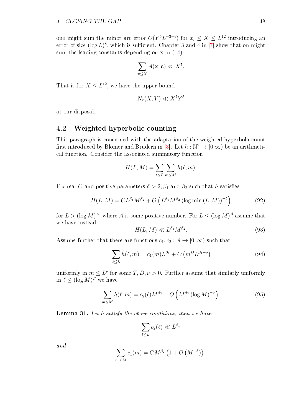one might sum the minor arc error  $O(Y^5L^{-3+\epsilon})$  for  $x_i \leq X \leq L^{12}$  introducing an error of size  $(\log L)^8$ , which is sufficient. Chapter 3 and 4 in [\[7\]](#page-54-16) show that on might sum the leading constants depending on  $x$  in [\(14\)](#page-13-4)

$$
\sum_{\mathbf{x}\leq X} A(\mathbf{x}, \mathbf{c}) \ll X^7.
$$

That is for  $X \leq L^{12}$ , we have the upper bound

$$
N_{\mathbf{c}}(X,Y) \ll X^7 Y^5
$$

at our disposal.

### <span id="page-49-0"></span>4.2 Weighted hyperbolic counting

This paragraph is concerned with the adaptation of the weighted hyperbola count first introduced by Blomer and Brüdern in [\[3\]](#page-54-8). Let  $h : \mathbb{N}^2 \to [0,\infty)$  be an arithmetical function. Consider the associated summatory function

$$
H(L, M) = \sum_{\ell \le L} \sum_{m \le M} h(\ell, m).
$$

Fix real C and positive parameters  $\delta > 2$ ,  $\beta_1$  and  $\beta_2$  such that h satisfies

<span id="page-49-2"></span>
$$
H(L, M) = CL^{\beta_1} M^{\beta_2} + O\left(L^{\beta_1} M^{\beta_2} \left(\log \min\left(L, M\right)\right)^{-\delta}\right)
$$
\n<sup>(92)</sup>

for  $L > (\log M)^A$ , where A is some positive number. For  $L \leq (\log M)^A$  assume that we have instead

<span id="page-49-3"></span>
$$
H(L,M) \ll L^{\beta_1} M^{\beta_2}.
$$
\n(93)

Assume further that there are functions  $c_1, c_2 : \mathbb{N} \to [0, \infty)$  such that

<span id="page-49-1"></span>
$$
\sum_{\ell \le L} h(\ell, m) = c_1(m)L^{\beta_1} + O\left(m^D L^{\beta_1 - \delta}\right)
$$
\n(94)

uniformly in  $m \leq L^{\nu}$  for some  $T, D, \nu > 0$ . Further assume that similarly uniformly in  $\ell \leq (\log M)^T$  we have

<span id="page-49-5"></span>
$$
\sum_{m \le M} h(\ell, m) = c_2(\ell) M^{\beta_2} + O\left(M^{\beta_2} \left(\log M\right)^{-\delta}\right). \tag{95}
$$

<span id="page-49-4"></span>**Lemma 31.** Let h satisfy the above conditions, then we have

$$
\sum_{\ell \le L} c_2(\ell) \ll L^{\beta_1}
$$

and

$$
\sum_{m\leq M}c_1(m)=CM^{\beta_2}\left(1+O\left(M^{-\delta}\right)\right).
$$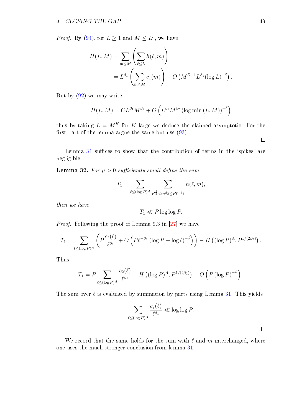*Proof.* By [\(94\)](#page-49-1), for  $L \geq 1$  and  $M \leq L^{\nu}$ , we have

$$
H(L, M) = \sum_{m \le M} \left( \sum_{\ell \le L} h(\ell, m) \right)
$$
  
=  $L^{\beta_1} \left( \sum_{m \le M} c_1(m) \right) + O\left(M^{D+1} L^{\beta_1} (\log L)^{-\delta} \right).$ 

But by [\(92\)](#page-49-2) we may write

$$
H(L, M) = CL^{\beta_1} M^{\beta_2} + O\left(L^{\beta_1} M^{\beta_2} (\log \min(L, M))^{-\delta}\right)
$$

thus by taking  $L = M^K$  for K large we deduce the claimed asymptotic. For the first part of the lemma argue the same but use  $(93)$ .

Lemma  $31$  suffices to show that the contribution of terms in the 'spikes' are negligible.

<span id="page-50-0"></span>**Lemma 32.** For  $\mu > 0$  sufficiently small define the sum

$$
T_1 = \sum_{\ell \leq (\log P)^A} \sum_{P^{\frac{1}{2}} < m^{\beta_2} \leq P\ell^{-\beta_1}} h(\ell, m),
$$

then we have

$$
T_1 \ll P \log \log P.
$$

Proof. Following the proof of Lemma 9.3 in [\[27\]](#page-55-4) we have

$$
T_1 = \sum_{\ell \leq (\log P)^A} \left( P \frac{c_2(\ell)}{\ell^{\beta_1}} + O\left( P \ell^{-\beta_1} \left( \log P + \log \ell \right)^{-\delta} \right) \right) - H\left( (\log P)^A, P^{1/(2\beta_2)} \right).
$$

Thus

$$
T_1 = P \sum_{\ell \leq (\log P)^A} \frac{c_2(\ell)}{\ell^{\beta_1}} - H\left((\log P)^A, P^{1/(2\beta_2)}\right) + O\left(P\left(\log P\right)^{-\vartheta}\right).
$$

The sum over  $\ell$  is evaluated by summation by parts using Lemma [31.](#page-49-4) This yields

$$
\sum_{\ell \leq (\log P)^A} \frac{c_2(\ell)}{\ell^{\beta_1}} \ll \log \log P.
$$

We record that the same holds for the sum with  $\ell$  and m interchanged, where one uses the much stronger conclusion from lemma [31.](#page-49-4)

 $\Box$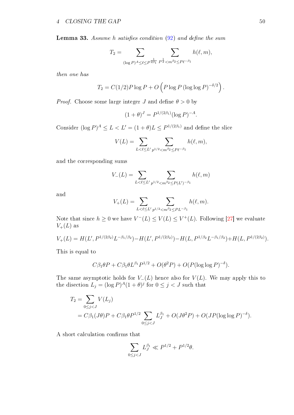<span id="page-51-0"></span>**Lemma 33.** Assume h satisfies condition  $(92)$  and define the sum

$$
T_2 = \sum_{(\log P)^A \le \ell \le P^{\frac{1}{2\beta_1}} P^{\frac{1}{2}} < m^{\beta_2} \le P\ell^{-\beta_1}} h(\ell, m),
$$

then one has

$$
T_2 = C(1/2)P \log P + O\left(P \log P (\log \log P)^{-\delta/2}\right).
$$

*Proof.* Choose some large integer J and define  $\theta > 0$  by

$$
(1+\theta)^J = P^{1/(2\beta_1)}(\log P)^{-A}.
$$

Consider  $(\log P)^A \le L < L' = (1 + \theta)L \le P^{1/(2\beta_1)}$  and define the slice

$$
V(L) = \sum_{L < \ell \le L'} \sum_{p^{1/2} < m^{\beta_2} \le P\ell^{-\beta_1}} h(\ell, m),
$$

and the corresponding sums

$$
V_{-}(L) = \sum_{L < \ell \le L'} \sum_{p^{1/2} < m^{\beta_2} \le P(L')^{-\beta_1}} h(\ell, m)
$$

and

$$
V_{+}(L) = \sum_{L < \ell \le L'} \sum_{p^{1/2} < m^{\beta_2} \le PL^{-\beta_1}} h(\ell, m).
$$

Note that since  $h \geq 0$  we have  $V^-(L) \leq V(L) \leq V^+(L)$ . Following [\[27\]](#page-55-4) we evaluate  $V_{+}(L)$  as

$$
V_{+}(L) = H(L', P^{1/(2\beta_2)}L^{-\beta_1/\beta_2}) - H(L', P^{1/(2\beta_2)}) - H(L, P^{1/\beta_2}L^{-\beta_1/\beta_2}) + H(L, P^{1/(2\beta_2)}).
$$

This is equal to

$$
C\beta_1\theta P + C\beta_1\theta L^{\beta_1}P^{1/2} + O(\theta^2 P) + O(P(\log \log P)^{-\delta}).
$$

The same asymptotic holds for  $V_-(L)$  hence also for  $V(L)$ . We may apply this to the disection  $L_j = (\log P)^A (1 + \theta)^j$  for  $0 \le j < J$  such that

$$
T_2 = \sum_{0 \le j < J} V(L_j)
$$
  
=  $C\beta_1(J\theta)P + C\beta_1\theta P^{1/2} \sum_{0 \le j < J} L_J^{\beta_1} + O(J\theta^2 P) + O(JP(\log \log P)^{-\delta}).$ 

A short calculation confirms that

$$
\sum_{0 \le j < J} L_J^{\beta_1} \ll P^{1/2} + P^{1/2} \theta.
$$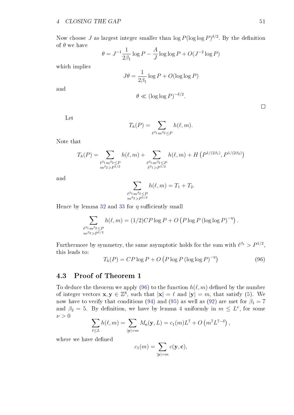Now choose J as largest integer smaller than  $\log P(\log \log P)^{\delta/2}$ . By the definition of  $\theta$  we have  $\overline{a}$ 

$$
\theta = J^{-1} \frac{1}{2\beta_1} \log P - \frac{A}{J} \log \log P + O(J^{-2} \log P)
$$

which implies

$$
J\theta = \frac{1}{2\beta_1} \log P + O(\log \log P)
$$

and

$$
\theta \ll (\log \log P)^{-\delta/2}.
$$

$$
T_h(P) = \sum_{\ell^{\beta_1} m^{\beta_2} \le P} h(\ell, m).
$$

Note that

$$
T_h(P) = \sum_{\substack{\ell^{\beta_1} m^{\beta_2} \le P \\ m^{\beta_2} > P^{1/2}}} h(\ell, m) + \sum_{\substack{\ell^{\beta_1} m^{\beta_2} \le P \\ \ell^{\beta_1} > P^{1/2}}} h(\ell, m) + H\left(P^{1/(2\beta_1)}, P^{1/(2\beta_2)}\right)
$$

and

$$
\sum_{\substack{\ell^{\beta_1} m^{\beta_2} \le P \\ m^{\beta_2} > P^{1/2}}} h(\ell, m) = T_1 + T_2.
$$

Hence by lemma [32](#page-50-0) and [33](#page-51-0) for  $\eta$  sufficiently small

$$
\sum_{\substack{\ell^{\beta_1} m^{\beta_2} \leq P \\ m^{\beta_2} > P^{1/2}}} h(\ell, m) = (1/2)CP \log P + O\left(P \log P (\log \log P)^{-\eta}\right).
$$

Furthermore by symmetry, the same asymptotic holds for the sum with  $\ell^{\beta_1} > P^{1/2}$ , this leads to:

<span id="page-52-1"></span>
$$
T_h(P) = CP \log P + O\left(P \log P \left(\log \log P\right)^{-\eta}\right) \tag{96}
$$

### <span id="page-52-0"></span>4.3 Proof of Theorem 1

To deduce the theorem we apply [\(96\)](#page-52-1) to the function  $h(\ell, m)$  defined by the number of integer vectors  $\mathbf{x}, \mathbf{y} \in \mathbb{Z}^8$ , such that  $|\mathbf{x}| = \ell$  and  $|\mathbf{y}| = m$ , that satisfy [\(5\)](#page-7-1). We now have to verify that conditions [\(94\)](#page-49-1) and [\(95\)](#page-49-5) as well as [\(92\)](#page-49-2) are met for  $\beta_1 = 7$ and  $\beta_2 = 5$ . By definition, we have by lemma [4](#page-10-2) uniformly in  $m \leq L^{\nu}$ , for some  $\nu > 0$ 

$$
\sum_{\ell \leq L} h(\ell, m) = \sum_{|\mathbf{y}| = m} M_{\mathbf{c}}(\mathbf{y}, L) = c_1(m) L^7 + O\left(m^7 L^{7-\delta}\right),
$$

where we have defined

$$
c_1(m) = \sum_{|\mathbf{y}|=m} c(\mathbf{y}, \mathbf{c}),
$$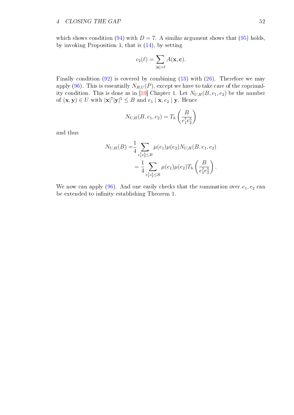which shows condition [\(94\)](#page-49-1) with  $D = 7$ . A similar argument shows that [\(95\)](#page-49-5) holds, by invoking Proposition 1, that is [\(14\)](#page-13-4), by setting

$$
c_2(\ell) = \sum_{|\mathbf{x}|=\ell} A(\mathbf{x}, \mathbf{c}).
$$

Finally condition  $(92)$  is covered by combining  $(13)$  with  $(26)$ . Therefore we may apply [\(96\)](#page-52-1). This is essentially  $N_{H,U}(P)$ , except we have to take care of the coprimal-ity condition. This is done as in [\[10\]](#page-54-9) Chapter 1. Let  $N_{U,H}(B, e_1, e_2)$  be the number of  $(\mathbf{x}, \mathbf{y}) \in U$  with  $|\mathbf{x}|^7 |\mathbf{y}|^5 \leq B$  and  $e_1 | \mathbf{x}, e_2 | \mathbf{y}$ . Hence

$$
N_{U,H}(B, e_1, e_2) = T_h \left(\frac{B}{e_1^7 e_2^5}\right)
$$

and thus

$$
N_{U,H}(B) = \frac{1}{4} \sum_{e_1^7 e_2^5 \le B} \mu(e_1) \mu(e_2) N_{U,H}(B, e_1, e_2)
$$
  
= 
$$
\frac{1}{4} \sum_{e_1^7 e_2^5 \le B} \mu(e_1) \mu(e_2) T_h\left(\frac{B}{e_1^7 e_2^5}\right).
$$

We now can apply [\(96\)](#page-52-1). And one easily checks that the summation over  $e_1, e_2$  can be extended to infinity establishing Theorem 1.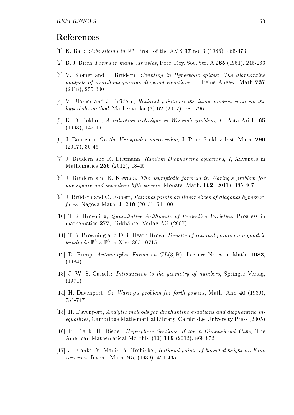## References

- <span id="page-54-12"></span>[1] K. Ball: *Cube slicing in*  $\mathbb{R}^n$ , Proc. of the AMS **97** no. 3 (1986), 465-473
- <span id="page-54-4"></span>[2] B. J. Birch, Forms in many variables, Porc. Roy. Soc. Ser. A 265 (1961), 245-263
- <span id="page-54-8"></span>[3] V. Blomer and J. Brüdern, Counting in Hyperbolic spikes: The diophantine analysis of multihomogeneous diagonal equations, J. Reine Angew. Math 737 (2018), 255-300
- <span id="page-54-6"></span>[4] V. Blomer and J. Brüdern, Rational points on the inner product cone via the hyperbola method, Mathematika (3) 62 (2017), 780-796
- <span id="page-54-2"></span>[5] K. D. Boklan , A reduction technique in Waring's problem, I , Acta Arith. 65 (1993), 147-161
- <span id="page-54-1"></span>[6] J. Bourgain, On the Vinogradov mean value, J. Proc. Steklov Inst. Math. 296 (2017), 36-46
- <span id="page-54-16"></span>[7] J. Brüdern and R. Dietmann, Random Diophantine equations, I, Advances in Mathematics 256 (2012), 18-45
- <span id="page-54-15"></span>[8] J. Brüdern and K. Kawada, The asymptotic formula in Waring's problem for one square and seventeen fifth powers, Monats. Math.  $162$  (2011), 385-407
- <span id="page-54-13"></span>[9] J. Brüdern and O. Robert, Rational points on linear slices of diagonal hypersurfaces, Nagoya Math. J. 218 (2015), 51-100
- <span id="page-54-9"></span>[10] T.B. Browning, Quantitative Arithmetic of Projective Varieties, Progress in mathematics 277, Birkhäuser Verlag AG (2007)
- <span id="page-54-7"></span>[11] T.B. Browning and D.R. Heath-Brown Density of rational points on a quadric bundle in  $\mathbb{P}^3 \times \mathbb{P}^3$ , arXiv:1805.10715
- <span id="page-54-5"></span>[12] D. Bump, Automorphic Forms on  $GL(3,\mathbb{R})$ , Lecture Notes in Math. 1083, (1984)
- <span id="page-54-10"></span>[13] J. W. S. Cassels: Introduction to the geometry of numbers, Springer Verlag, (1971)
- <span id="page-54-0"></span>[14] H. Davenport, On Waring's problem for forth powers, Math. Ann 40 (1939), 731-747
- <span id="page-54-14"></span>[15] H. Davenport, Analytic methods for diophantine equations and diophantine inequalities, Cambridge Mathematical Library, Cambridge University Press (2005)
- <span id="page-54-11"></span>[16] R. Frank, H. Riede: Hyperplane Sections of the n-Dimensional Cube, The American Mathematical Monthly (10) 119 (2012), 868-872
- <span id="page-54-3"></span>[17] J. Franke, Y. Manin, Y. Tschinkel, Rational points of bounded height on Fano varieries, Invent. Math. 95, (1989), 421-435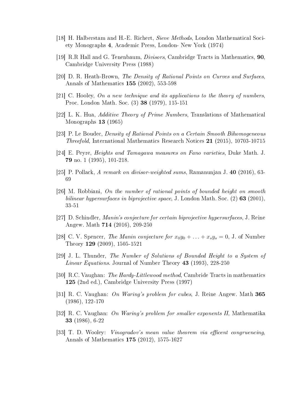- [18] H. Halberstam and H.-E. Richert, Sieve Methods, London Mathematical Society Monographs 4, Academic Press, London- New York (1974)
- <span id="page-55-12"></span>[19] R.R Hall and G. Tenenbaum, Divisors, Cambridge Tracts in Mathematics, 90, Cambridge University Press (1988)
- [20] D. R. Heath-Brown, The Density of Rational Points on Curves and Surfaces, Annals of Mathematics 155 (2002), 553-598
- <span id="page-55-11"></span>[21] C. Hooley, On a new technique and its applications to the theory of numbers, Proc. London Math. Soc. (3) 38 (1979), 115-151
- <span id="page-55-13"></span>[22] L. K. Hua, Additive Theory of Prime Numbers, Translations of Mathematical Monographs 13 (1965)
- <span id="page-55-7"></span>[23] P. Le Boudec, Density of Rational Points on a Certain Smooth Bihomogeneous *Threefold*, International Mathematics Research Notices  $21$  (2015), 10703-10715
- <span id="page-55-3"></span>[24] E. Peyre, Heights and Tamagawa measures on Fano varieties, Duke Math. J. 79 no. 1 (1995), 101-218.
- <span id="page-55-9"></span>[25] P. Pollack, A remark on divisor-weighted sums, Ramanunjan J. 40 (2016), 63- 69
- <span id="page-55-5"></span>[26] M. Robbiani, On the number of rational points of bounded height on smooth bilinear hypersurfaces in biprojective space, J. London Math. Soc.  $(2)$  63 (2001), 33-51
- <span id="page-55-4"></span>[27] D. Schindler, Manin's conjecture for certain biprojective hypersurfaces, J. Reine Angew. Math 714 (2016), 209-250
- <span id="page-55-6"></span>[28] C. V. Spencer, The Manin conjecture for  $x_0y_0 + \ldots + x_sy_s = 0$ , J. of Number Theory 129 (2009), 1505-1521
- <span id="page-55-10"></span>[29] J. L. Thunder, The Number of Solutions of Bounded Height to a System of Linear Equations. Journal of Number Theory 43 (1993), 228-250
- <span id="page-55-0"></span>[30] R.C. Vaughan: The Hardy-Littlewood method, Cambride Tracts in mathematics 125 (2nd ed.), Cambridge University Press (1997)
- <span id="page-55-2"></span>[31] R. C. Vaughan: On Waring's problem for cubes, J. Reine Angew. Math 365 (1986), 122-170
- <span id="page-55-8"></span>[32] R. C. Vaughan: On Waring's problem for smaller exponents II, Mathematika 33 (1986), 6-22
- <span id="page-55-1"></span>[33] T. D. Wooley: *Vinogradov's mean value theorem via efficent congruencing* Annals of Mathematics 175 (2012), 1575-1627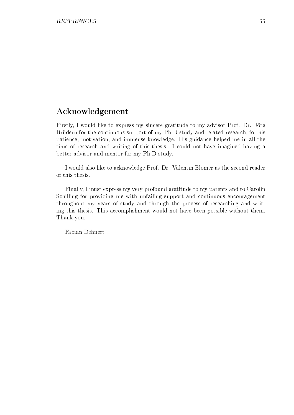## Acknowledgement

Firstly, I would like to express my sincere gratitude to my advisor Prof. Dr. Jörg Brüdern for the continuous support of my Ph.D study and related research, for his patience, motivation, and immense knowledge. His guidance helped me in all the time of research and writing of this thesis. I could not have imagined having a better advisor and mentor for my Ph.D study.

I would also like to acknowledge Prof. Dr. Valentin Blomer as the second reader of this thesis.

Finally, I must express my very profound gratitude to my parents and to Carolin Schilling for providing me with unfailing support and continuous encouragement throughout my years of study and through the process of researching and writing this thesis. This accomplishment would not have been possible without them. Thank you.

Fabian Dehnert